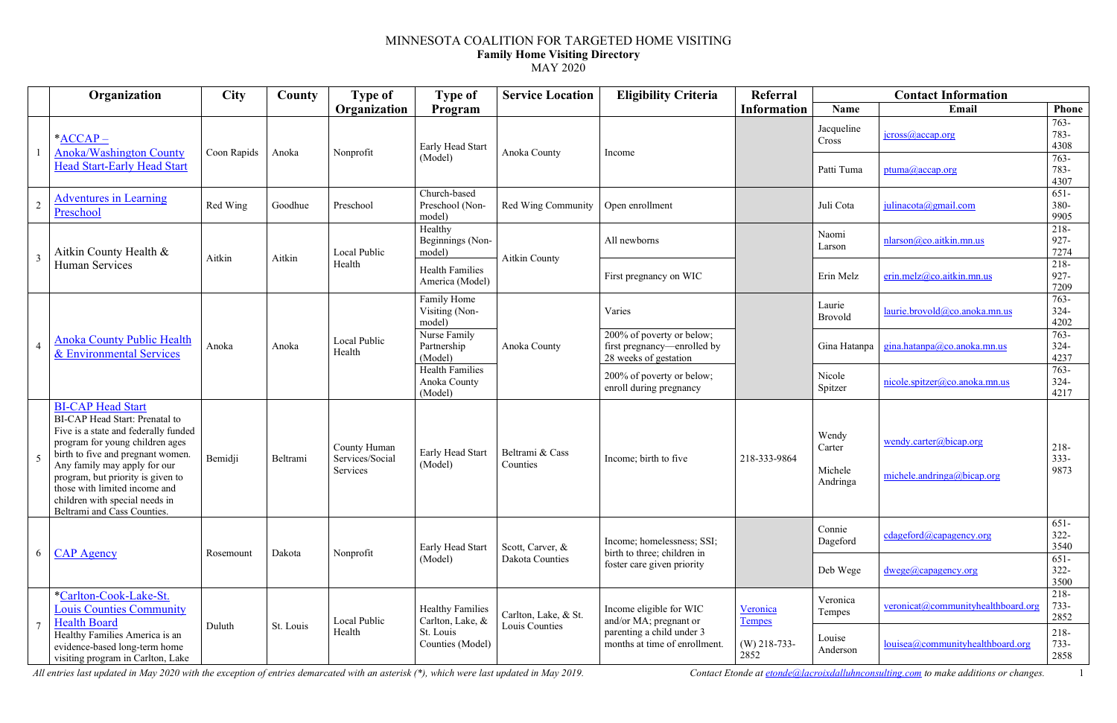## MINNESOTA COALITION FOR TARGETED HOME VISITING **Family Home Visiting Directory**

MAY 2020

|                          | Organization                                                                                                                                                                                                                                                                                                                                      | <b>City</b> | County    | <b>Type of</b>                              | <b>Type of</b>                                           | <b>Service Location</b>                    | <b>Eligibility Criteria</b>                                                             | Referral                  |                                        | <b>Contact Information</b>                             |                                                  |
|--------------------------|---------------------------------------------------------------------------------------------------------------------------------------------------------------------------------------------------------------------------------------------------------------------------------------------------------------------------------------------------|-------------|-----------|---------------------------------------------|----------------------------------------------------------|--------------------------------------------|-----------------------------------------------------------------------------------------|---------------------------|----------------------------------------|--------------------------------------------------------|--------------------------------------------------|
|                          |                                                                                                                                                                                                                                                                                                                                                   |             |           | Organization                                | Program                                                  |                                            |                                                                                         | <b>Information</b>        | <b>Name</b>                            | Email                                                  | <b>Phone</b>                                     |
|                          | $*ACCAP-$<br><b>Anoka/Washington County</b><br><b>Head Start-Early Head Start</b>                                                                                                                                                                                                                                                                 | Coon Rapids | Anoka     | Nonprofit                                   | Early Head Start<br>(Model)                              | <b>Anoka County</b>                        | Income                                                                                  |                           | Jacqueline<br>Cross<br>Patti Tuma      | icross@accap.org<br>ptuma@accap.org                    | $763-$<br>783-<br>4308<br>$763-$<br>783-<br>4307 |
| $\overline{2}$           | <b>Adventures in Learning</b><br>Preschool                                                                                                                                                                                                                                                                                                        | Red Wing    | Goodhue   | Preschool                                   | Church-based<br>Preschool (Non-<br>model)                | Red Wing Community                         | Open enrollment                                                                         |                           | Juli Cota                              | julinacota@gmail.com                                   | $651 -$<br>380-<br>9905                          |
| 3                        | Aitkin County Health &                                                                                                                                                                                                                                                                                                                            | Aitkin      | Aitkin    | Local Public                                | Healthy<br>Beginnings (Non-<br>model)                    | Aitkin County                              | All newborns                                                                            |                           | Naomi<br>Larson                        | nlarson@co.aitkin.mn.us                                | 218-<br>927-<br>7274                             |
|                          | <b>Human Services</b>                                                                                                                                                                                                                                                                                                                             |             |           | Health                                      | <b>Health Families</b><br>America (Model)                |                                            | First pregnancy on WIC                                                                  |                           | Erin Melz                              | erin.melz@co.aitkin.mn.us                              | 218-<br>927-<br>7209                             |
|                          |                                                                                                                                                                                                                                                                                                                                                   |             |           |                                             | Family Home<br>Visiting (Non-<br>model)                  |                                            | Varies                                                                                  |                           | Laurie<br>Brovold                      | laurie.brovold@co.anoka.mn.us                          | 763-<br>$324 -$<br>4202                          |
|                          | <b>Anoka County Public Health</b><br>& Environmental Services                                                                                                                                                                                                                                                                                     | Anoka       | Anoka     | Local Public<br>Health                      | Nurse Family<br>Partnership<br>(Model)                   | Anoka County                               | 200% of poverty or below;<br>first pregnancy—enrolled by<br>28 weeks of gestation       |                           | Gina Hatanpa                           | gina.hatanpa@co.anoka.mn.us                            | 763-<br>$324 -$<br>4237                          |
|                          |                                                                                                                                                                                                                                                                                                                                                   |             |           |                                             | <b>Health Families</b><br>Anoka County<br>(Model)        |                                            | 200% of poverty or below;<br>enroll during pregnancy                                    |                           | Nicole<br>Spitzer                      | nicole.spitzer@co.anoka.mn.us                          | $763-$<br>$324 -$<br>4217                        |
| $\overline{\mathcal{L}}$ | <b>BI-CAP Head Start</b><br>BI-CAP Head Start: Prenatal to<br>Five is a state and federally funded<br>program for young children ages<br>birth to five and pregnant women.<br>Any family may apply for our<br>program, but priority is given to<br>those with limited income and<br>children with special needs in<br>Beltrami and Cass Counties. | Bemidji     | Beltrami  | County Human<br>Services/Social<br>Services | Early Head Start<br>(Model)                              | Beltrami & Cass<br>Counties                | Income; birth to five                                                                   | 218-333-9864              | Wendy<br>Carter<br>Michele<br>Andringa | wendy.carter@bicap.org<br>michele. and ringa@bicap.org | 218-<br>$333 -$<br>9873                          |
| 6                        | <b>CAP Agency</b>                                                                                                                                                                                                                                                                                                                                 | Rosemount   | Dakota    | Nonprofit                                   | Early Head Start<br>(Model)                              | Scott, Carver, &<br><b>Dakota Counties</b> | Income; homelessness; SSI;<br>birth to three; children in<br>foster care given priority |                           | Connie<br>Dageford<br>Deb Wege         | cdageford@capagency.org<br>dwege@capagency.org         | $651-$<br>$322 -$<br>3540<br>$651 -$<br>$322 -$  |
| $\overline{7}$           | *Carlton-Cook-Lake-St.<br><b>Louis Counties Community</b><br><b>Health Board</b>                                                                                                                                                                                                                                                                  | Duluth      | St. Louis | Local Public<br>Health                      | <b>Healthy Families</b><br>Carlton, Lake, &<br>St. Louis | Carlton, Lake, & St.<br>Louis Counties     | Income eligible for WIC<br>and/or MA; pregnant or<br>parenting a child under 3          | Veronica<br><b>Tempes</b> | Veronica<br>Tempes                     | veronicat@communityhealthboard.org                     | 3500<br>218-<br>733-<br>2852<br>218-             |
|                          | Healthy Families America is an<br>evidence-based long-term home<br>visiting program in Carlton, Lake                                                                                                                                                                                                                                              |             |           |                                             | Counties (Model)                                         |                                            | months at time of enrollment.                                                           | $(W)$ 218-733-<br>2852    | Louise<br>Anderson                     | louisea@communityhealthboard.org                       | $733-$<br>2858                                   |

All entries last updated in May 2020 with the exception of entries demarcated with an asterisk (\*), which were last updated in May 2019. Contact Etonde at etonde @lacroixdalluhnconsulting.com to make additions or changes.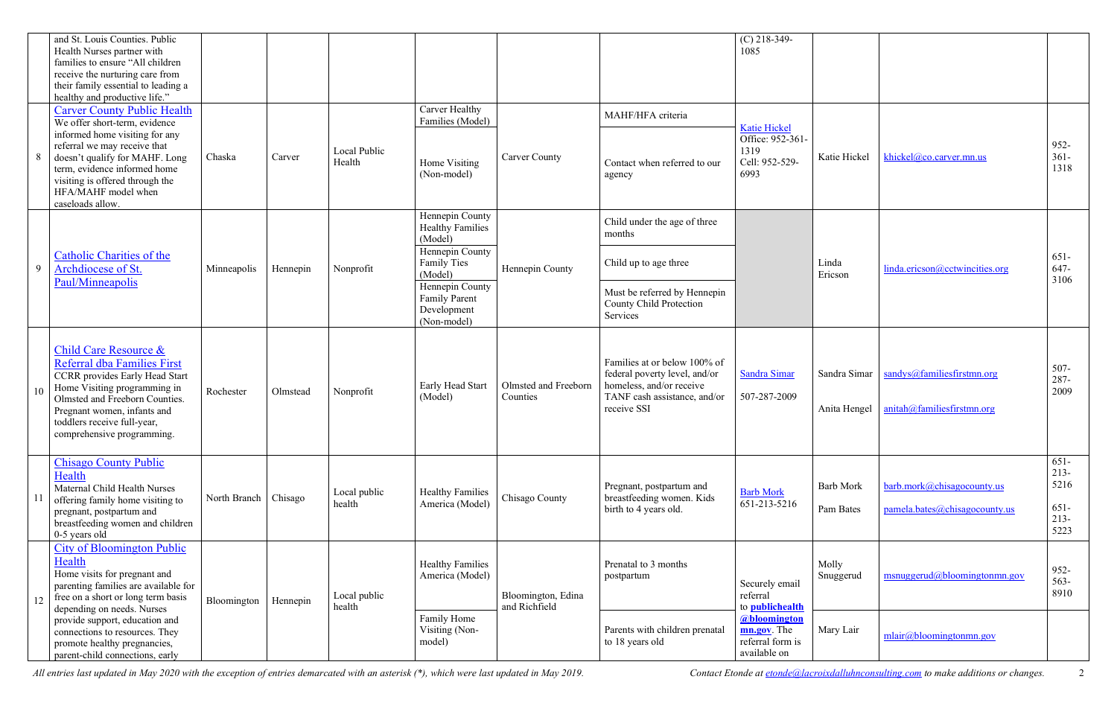|    | and St. Louis Counties. Public<br>Health Nurses partner with<br>families to ensure "All children<br>receive the nurturing care from<br>their family essential to leading a<br>healthy and productive life."                                                     |              |          |                        |                                                                       |                                     |                                                                                                                                          | $(C)$ 218-349-<br>1085                                                    |                    |                                                                                      |                          |
|----|-----------------------------------------------------------------------------------------------------------------------------------------------------------------------------------------------------------------------------------------------------------------|--------------|----------|------------------------|-----------------------------------------------------------------------|-------------------------------------|------------------------------------------------------------------------------------------------------------------------------------------|---------------------------------------------------------------------------|--------------------|--------------------------------------------------------------------------------------|--------------------------|
|    | <b>Carver County Public Health</b><br>We offer short-term, evidence                                                                                                                                                                                             |              |          |                        | Carver Healthy<br>Families (Model)                                    |                                     | MAHF/HFA criteria                                                                                                                        |                                                                           |                    |                                                                                      |                          |
|    | informed home visiting for any<br>referral we may receive that<br>doesn't qualify for MAHF. Long<br>term, evidence informed home<br>visiting is offered through the<br>HFA/MAHF model when<br>caseloads allow.                                                  | Chaska       | Carver   | Local Public<br>Health | Home Visiting<br>(Non-model)                                          | <b>Carver County</b>                | Contact when referred to our<br>agency                                                                                                   | <b>Katie Hickel</b><br>Office: 952-361-<br>1319<br>Cell: 952-529-<br>6993 | Katie Hickel       | khickel@co.carver.mn.us                                                              | 952-<br>$361 -$<br>1318  |
|    |                                                                                                                                                                                                                                                                 |              |          |                        | Hennepin County<br><b>Healthy Families</b><br>(Model)                 |                                     | Child under the age of three<br>months                                                                                                   |                                                                           |                    |                                                                                      |                          |
| 9  | <b>Catholic Charities of the</b><br>Archdiocese of St.<br>Paul/Minneapolis                                                                                                                                                                                      | Minneapolis  | Hennepin | Nonprofit              | Hennepin County<br><b>Family Ties</b><br>(Model)                      | Hennepin County                     | Child up to age three                                                                                                                    |                                                                           | Linda<br>Ericson   | linda.ericson@cctwincities.org                                                       | $651 -$<br>647-<br>3106  |
|    |                                                                                                                                                                                                                                                                 |              |          |                        | Hennepin County<br><b>Family Parent</b><br>Development<br>(Non-model) |                                     | Must be referred by Hennepin<br>County Child Protection<br>Services                                                                      |                                                                           |                    |                                                                                      |                          |
|    | <b>Child Care Resource &amp;</b><br>Referral dba Families First<br>CCRR provides Early Head Start<br>Home Visiting programming in<br>Olmsted and Freeborn Counties.<br>Pregnant women, infants and<br>toddlers receive full-year,<br>comprehensive programming. | Rochester    | Olmstead | Nonprofit              | Early Head Start<br>(Model)                                           | Olmsted and Freeborn<br>Counties    | Families at or below 100% of<br>federal poverty level, and/or<br>homeless, and/or receive<br>TANF cash assistance, and/or<br>receive SSI | <b>Sandra Simar</b><br>507-287-2009                                       |                    | Sandra Simar   sandys@familiesfirstmn.org<br>Anita Hengel anitah@familiesfirstmn.org | 507-<br>287-<br>2009     |
|    | <b>Chisago County Public</b><br>Health<br>Maternal Child Health Nurses                                                                                                                                                                                          |              |          | Local public           | <b>Healthy Families</b>                                               |                                     | Pregnant, postpartum and                                                                                                                 | <b>Barb Mork</b>                                                          | <b>Barb Mork</b>   | barb.mork@chisagocounty.us                                                           | $651-$<br>$213-$<br>5216 |
|    | offering family home visiting to<br>pregnant, postpartum and<br>breastfeeding women and children<br>0-5 years old                                                                                                                                               | North Branch | Chisago  | health                 | America (Model)                                                       | Chisago County                      | breastfeeding women. Kids<br>birth to 4 years old.                                                                                       | 651-213-5216                                                              | Pam Bates          | pamela.bates@chisagocounty.us                                                        | $651-$<br>$213-$<br>5223 |
| 12 | <b>City of Bloomington Public</b><br>Health<br>Home visits for pregnant and<br>parenting families are available for<br>free on a short or long term basis<br>depending on needs. Nurses                                                                         | Bloomington  | Hennepin | Local public<br>health | <b>Healthy Families</b><br>America (Model)                            | Bloomington, Edina<br>and Richfield | Prenatal to 3 months<br>postpartum                                                                                                       | Securely email<br>referral<br>to publichealth                             | Molly<br>Snuggerud | msnuggerud@bloomingtonmn.gov                                                         | 952-<br>$563-$<br>8910   |
|    | provide support, education and<br>connections to resources. They<br>promote healthy pregnancies,<br>parent-child connections, early                                                                                                                             |              |          |                        | Family Home<br>Visiting (Non-<br>model)                               |                                     | Parents with children prenatal<br>to 18 years old                                                                                        | @bloomington<br>mn.gov. The<br>referral form is<br>available on           | Mary Lair          | mlair@bloomingtonmn.gov                                                              |                          |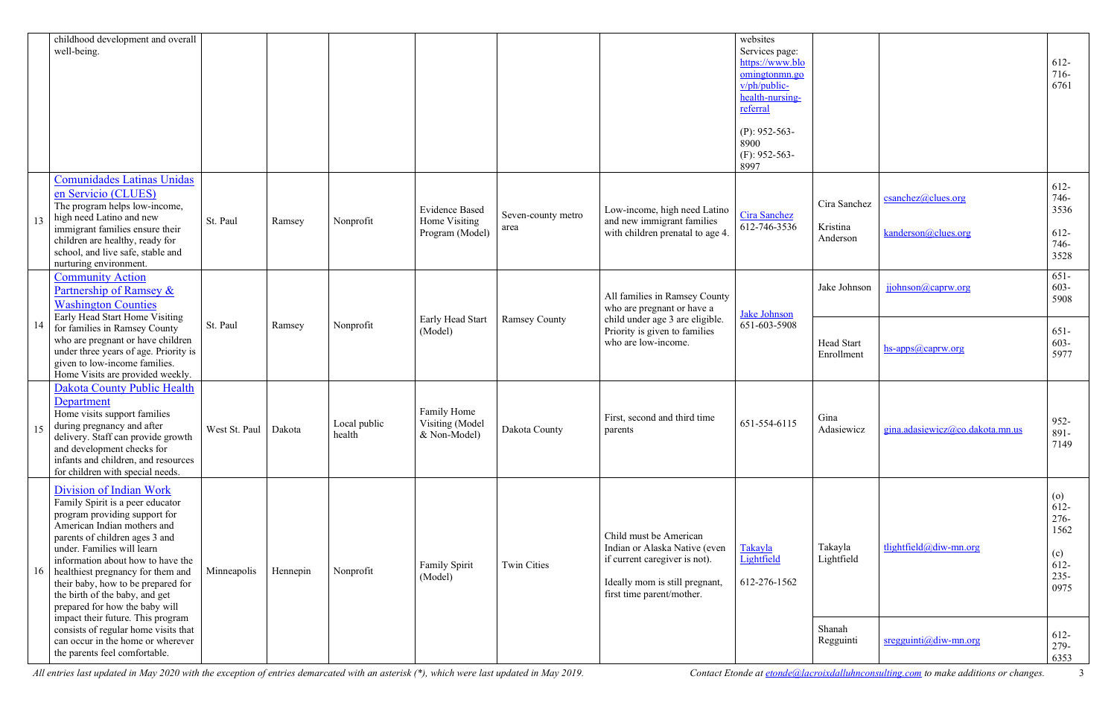|     | childhood development and overall<br>well-being.                                                                                                                                                                                                                                                                                                                                                                            |               |          |                        |                                                           |                            |                                                                                                                                                         | websites<br>Services page:<br>https://www.blo<br>omingtonmn.go<br>$v$ /ph/public-<br>health-nursing-<br>referral<br>$(P): 952-563-$<br>8900<br>$(F)$ : 952-563-<br>8997 |                                          |                                           | 612-<br>716-<br>6761                                              |
|-----|-----------------------------------------------------------------------------------------------------------------------------------------------------------------------------------------------------------------------------------------------------------------------------------------------------------------------------------------------------------------------------------------------------------------------------|---------------|----------|------------------------|-----------------------------------------------------------|----------------------------|---------------------------------------------------------------------------------------------------------------------------------------------------------|-------------------------------------------------------------------------------------------------------------------------------------------------------------------------|------------------------------------------|-------------------------------------------|-------------------------------------------------------------------|
| 13  | <b>Comunidades Latinas Unidas</b><br>en Servicio (CLUES)<br>The program helps low-income,<br>high need Latino and new<br>immigrant families ensure their<br>children are healthy, ready for<br>school, and live safe, stable and<br>nurturing environment.                                                                                                                                                                  | St. Paul      | Ramsey   | Nonprofit              | <b>Evidence Based</b><br>Home Visiting<br>Program (Model) | Seven-county metro<br>area | Low-income, high need Latino<br>and new immigrant families<br>with children prenatal to age 4.                                                          | <b>Cira Sanchez</b><br>612-746-3536                                                                                                                                     | Cira Sanchez<br>Kristina<br>Anderson     | csanchez@clues.org<br>kanderson@clues.org | 612-<br>746-<br>3536<br>612-<br>746-<br>3528                      |
| -14 | <b>Community Action</b><br>Partnership of Ramsey &<br><b>Washington Counties</b><br>Early Head Start Home Visiting<br>for families in Ramsey County<br>who are pregnant or have children<br>under three years of age. Priority is<br>given to low-income families.<br>Home Visits are provided weekly.                                                                                                                      | St. Paul      | Ramsey   | Nonprofit              | Early Head Start<br>(Model)                               | <b>Ramsey County</b>       | All families in Ramsey County<br>who are pregnant or have a<br>child under age 3 are eligible.<br>Priority is given to families<br>who are low-income.  | <b>Jake Johnson</b><br>651-603-5908                                                                                                                                     | Jake Johnson<br>Head Start<br>Enrollment | ijohnson@caprw.org<br>hs-apps@caprw.org   | $651-$<br>$603 -$<br>5908<br>$651 -$<br>603-<br>5977              |
| 15  | <b>Dakota County Public Health</b><br>Department<br>Home visits support families<br>during pregnancy and after<br>delivery. Staff can provide growth<br>and development checks for<br>infants and children, and resources<br>for children with special needs.                                                                                                                                                               | West St. Paul | Dakota   | Local public<br>health | Family Home<br>Visiting (Model<br>& Non-Model)            | Dakota County              | First, second and third time<br>parents                                                                                                                 | 651-554-6115                                                                                                                                                            | Gina<br>Adasiewicz                       | gina.adasiewicz@co.dakota.mn.us           | 952-<br>891-<br>7149                                              |
| -16 | <b>Division of Indian Work</b><br>Family Spirit is a peer educator<br>program providing support for<br>American Indian mothers and<br>parents of children ages 3 and<br>under. Families will learn<br>information about how to have the<br>healthiest pregnancy for them and<br>their baby, how to be prepared for<br>the birth of the baby, and get<br>prepared for how the baby will<br>impact their future. This program | Minneapolis   | Hennepin | Nonprofit              | Family Spirit<br>(Model)                                  | Twin Cities                | Child must be American<br>Indian or Alaska Native (even<br>if current caregiver is not).<br>Ideally mom is still pregnant,<br>first time parent/mother. | Takayla<br>Lightfield<br>612-276-1562                                                                                                                                   | Takayla<br>Lightfield                    | tlightfield@diw-mn.org                    | $\circ$<br>612-<br>276-<br>1562<br>(c)<br>612-<br>$235 -$<br>0975 |
|     | consists of regular home visits that<br>can occur in the home or wherever<br>the parents feel comfortable.                                                                                                                                                                                                                                                                                                                  |               |          |                        |                                                           |                            |                                                                                                                                                         |                                                                                                                                                                         | Shanah<br>Regguinti                      | $sregquinti@div-mn.org$                   | 612-<br>279-<br>6353                                              |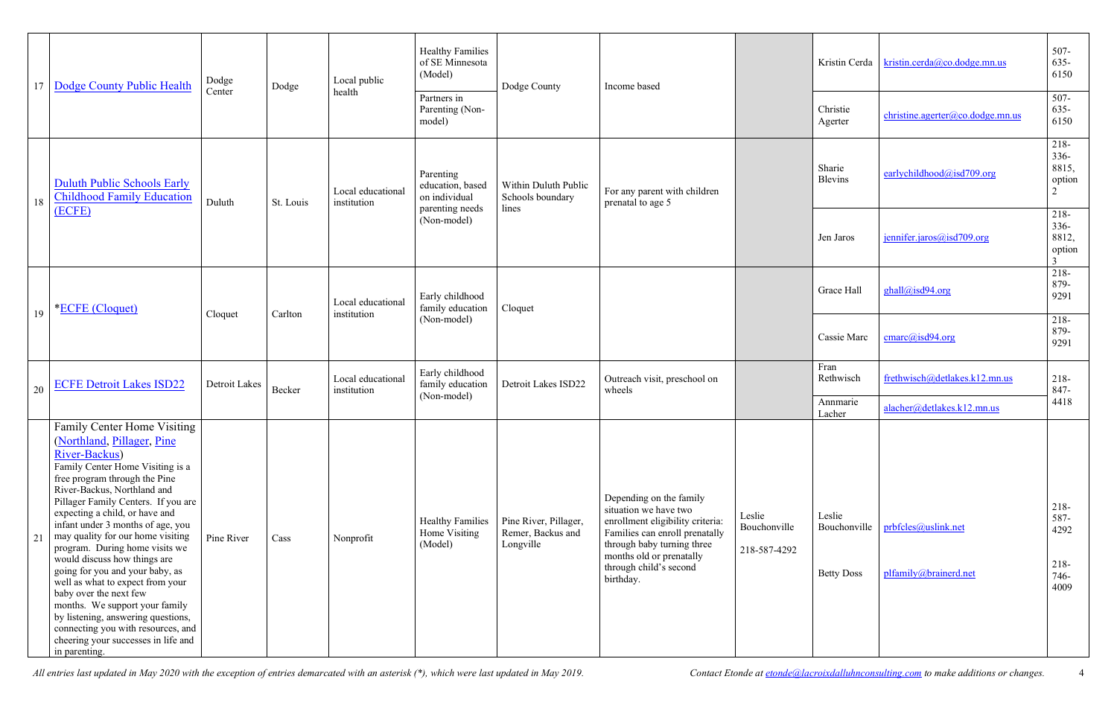|    | 17   Dodge County Public Health                                                                                                                                                                                                                                                                                                                                                                                                                                                                                                                                                                                                                                            | Dodge<br>Center | Dodge     | Local public<br>health           | <b>Healthy Families</b><br>of SE Minnesota<br>(Model)<br>Partners in<br>Parenting (Non- | Dodge County                                            | Income based                                                                                                                                                                                                            |                                        | Christie                                              | Kristin Cerda   kristin.cerda@co.dodge.mn.us                               | 507-<br>635-<br>6150<br>$507 -$<br>635-        |
|----|----------------------------------------------------------------------------------------------------------------------------------------------------------------------------------------------------------------------------------------------------------------------------------------------------------------------------------------------------------------------------------------------------------------------------------------------------------------------------------------------------------------------------------------------------------------------------------------------------------------------------------------------------------------------------|-----------------|-----------|----------------------------------|-----------------------------------------------------------------------------------------|---------------------------------------------------------|-------------------------------------------------------------------------------------------------------------------------------------------------------------------------------------------------------------------------|----------------------------------------|-------------------------------------------------------|----------------------------------------------------------------------------|------------------------------------------------|
|    |                                                                                                                                                                                                                                                                                                                                                                                                                                                                                                                                                                                                                                                                            |                 |           |                                  | model)                                                                                  |                                                         |                                                                                                                                                                                                                         |                                        | Agerter                                               | $christine.agetter@co.dodge.mn.us$                                         | 6150                                           |
| 18 | Duluth Public Schools Early<br><b>Childhood Family Education</b>                                                                                                                                                                                                                                                                                                                                                                                                                                                                                                                                                                                                           | Duluth          | St. Louis | Local educational<br>institution | Parenting<br>education, based<br>on individual                                          | Within Duluth Public<br>Schools boundary                | For any parent with children<br>prenatal to age 5                                                                                                                                                                       |                                        | Sharie<br><b>Blevins</b>                              | earlychildhood@isd709.org                                                  | 218-<br>$336-$<br>8815,<br>option              |
|    | (ECFE)                                                                                                                                                                                                                                                                                                                                                                                                                                                                                                                                                                                                                                                                     |                 |           |                                  | parenting needs<br>(Non-model)                                                          | lines                                                   |                                                                                                                                                                                                                         |                                        | Jen Jaros                                             | jennifer.jaros@isd709.org                                                  | 218-<br>336-<br>8812,<br>option                |
| 19 | *ECFE (Cloquet)                                                                                                                                                                                                                                                                                                                                                                                                                                                                                                                                                                                                                                                            | Cloquet         | Carlton   | Local educational<br>institution | Early childhood<br>family education                                                     | Cloquet                                                 |                                                                                                                                                                                                                         |                                        | Grace Hall                                            | ghall@isd94.org                                                            | $218-$<br>879-<br>9291                         |
|    |                                                                                                                                                                                                                                                                                                                                                                                                                                                                                                                                                                                                                                                                            |                 |           |                                  | (Non-model)                                                                             |                                                         |                                                                                                                                                                                                                         |                                        | Cassie Marc                                           | $cmarc(a)$ isd94.org                                                       | $218-$<br>879-<br>9291                         |
| 20 | <b>ECFE Detroit Lakes ISD22</b>                                                                                                                                                                                                                                                                                                                                                                                                                                                                                                                                                                                                                                            | Detroit Lakes   | Becker    | Local educational<br>institution | Early childhood<br>family education<br>(Non-model)                                      | Detroit Lakes ISD22                                     | Outreach visit, preschool on<br>wheels                                                                                                                                                                                  |                                        | Fran<br>Rethwisch<br>Annmarie                         | frethwisch@detlakes.k12.mn.us                                              | 218-<br>847-<br>4418                           |
| 21 | Family Center Home Visiting<br>(Northland, Pillager, Pine<br>River-Backus)<br>Family Center Home Visiting is a<br>free program through the Pine<br>River-Backus, Northland and<br>Pillager Family Centers. If you are<br>expecting a child, or have and<br>infant under 3 months of age, you<br>may quality for our home visiting<br>program. During home visits we<br>would discuss how things are<br>going for you and your baby, as<br>well as what to expect from your<br>baby over the next few<br>months. We support your family<br>by listening, answering questions,<br>connecting you with resources, and<br>cheering your successes in life and<br>in parenting. | Pine River      | Cass      | Nonprofit                        | <b>Healthy Families</b><br>Home Visiting<br>(Model)                                     | Pine River, Pillager,<br>Remer, Backus and<br>Longville | Depending on the family<br>situation we have two<br>enrollment eligibility criteria:<br>Families can enroll prenatally<br>through baby turning three<br>months old or prenatally<br>through child's second<br>birthday. | Leslie<br>Bouchonville<br>218-587-4292 | Lacher<br>Leslie<br>Bouchonville<br><b>Betty Doss</b> | alacher@detlakes.k12.mn.us<br>prbfcles@uslink.net<br>plfamily@brainerd.net | 218-<br>587-<br>4292<br>$218-$<br>746-<br>4009 |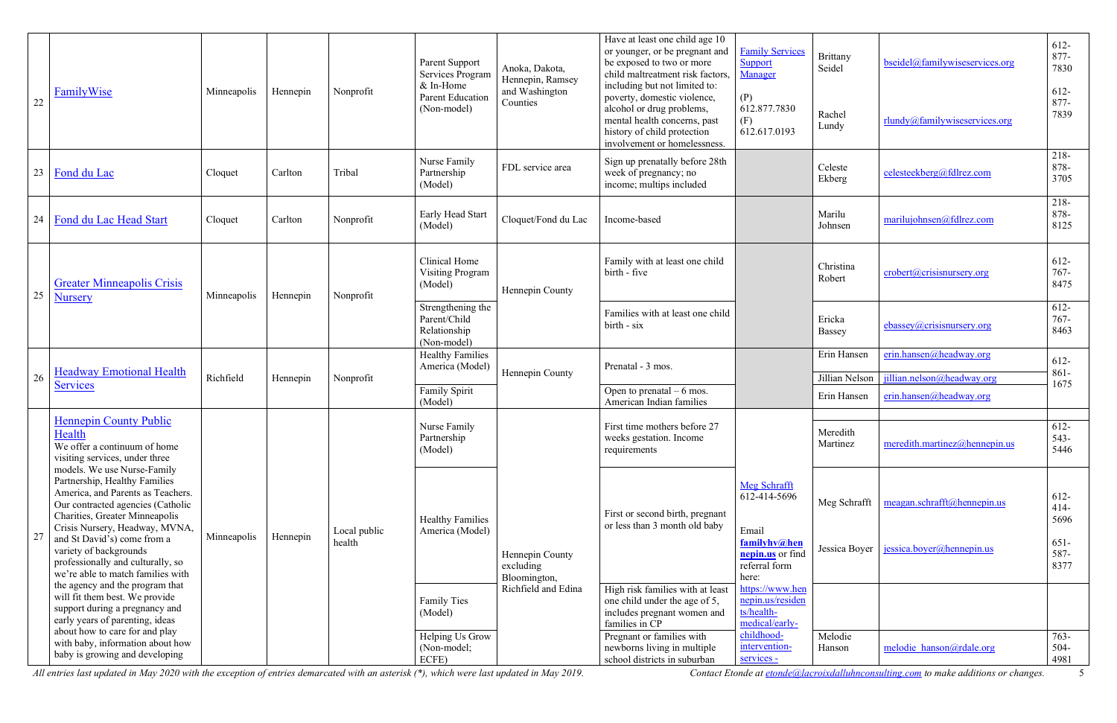| 22 | FamilyWise                                                                                                                                                               | Minneapolis | Hennepin | Nonprofit              | Parent Support<br>Services Program<br>& In-Home<br><b>Parent Education</b><br>(Non-model) | Anoka, Dakota,<br>Hennepin, Ramsey<br>and Washington<br>Counties | Have at least one child age 10<br>or younger, or be pregnant and<br>be exposed to two or more<br>child maltreatment risk factors.<br>including but not limited to:<br>poverty, domestic violence,<br>alcohol or drug problems,<br>mental health concerns, past<br>history of child protection<br>involvement or homelessness. | <b>Family Services</b><br>Support<br>Manager<br>(P)<br>612.877.7830<br>(F)<br>612.617.0193 | Brittany<br>Seidel<br>Rachel<br>Lundy | bseidel@familywiseservices.org<br>rlundy@familywiseservices.org | 612-<br>877-<br>7830<br>$612 -$<br>877-<br>7839 |
|----|--------------------------------------------------------------------------------------------------------------------------------------------------------------------------|-------------|----------|------------------------|-------------------------------------------------------------------------------------------|------------------------------------------------------------------|-------------------------------------------------------------------------------------------------------------------------------------------------------------------------------------------------------------------------------------------------------------------------------------------------------------------------------|--------------------------------------------------------------------------------------------|---------------------------------------|-----------------------------------------------------------------|-------------------------------------------------|
|    | 23 Fond du Lac                                                                                                                                                           | Cloquet     | Carlton  | Tribal                 | Nurse Family<br>Partnership<br>(Model)                                                    | FDL service area                                                 | Sign up prenatally before 28th<br>week of pregnancy; no<br>income; multips included                                                                                                                                                                                                                                           |                                                                                            | Celeste<br>Ekberg                     | celesteekberg@fdlrez.com                                        | 218-<br>878-<br>3705                            |
|    | 24   Fond du Lac Head Start                                                                                                                                              | Cloquet     | Carlton  | Nonprofit              | Early Head Start<br>(Model)                                                               | Cloquet/Fond du Lac                                              | Income-based                                                                                                                                                                                                                                                                                                                  |                                                                                            | Marilu<br>Johnsen                     | marilujohnsen@fdlrez.com                                        | 218-<br>878-<br>8125                            |
| 25 | <b>Greater Minneapolis Crisis</b><br><b>Nursery</b>                                                                                                                      | Minneapolis | Hennepin | Nonprofit              | Clinical Home<br><b>Visiting Program</b><br>(Model)                                       | Hennepin County                                                  | Family with at least one child<br>birth - five                                                                                                                                                                                                                                                                                |                                                                                            | Christina<br>Robert                   | crobert@crisisnursery.org                                       | 612-<br>$767 -$<br>8475                         |
|    |                                                                                                                                                                          |             |          |                        | Strengthening the<br>Parent/Child<br>Relationship<br>(Non-model)                          |                                                                  | Families with at least one child<br>birth - six                                                                                                                                                                                                                                                                               |                                                                                            | Ericka<br>Bassey                      | ebassey@crisisnursery.org                                       | 612-<br>767-<br>8463                            |
|    | <b>Headway Emotional Health</b>                                                                                                                                          |             |          |                        | <b>Healthy Families</b><br>America (Model)                                                | Hennepin County                                                  | Prenatal - 3 mos.                                                                                                                                                                                                                                                                                                             |                                                                                            | Erin Hansen                           | erin.hansen@headway.org                                         | $612 -$<br>$861 -$                              |
| 26 | Services                                                                                                                                                                 | Richfield   | Hennepin | Nonprofit              | Family Spirit<br>(Model)                                                                  |                                                                  | Open to prenatal $-6$ mos.<br>American Indian families                                                                                                                                                                                                                                                                        |                                                                                            | Jillian Nelson<br>Erin Hansen         | jillian.nelson@headway.org<br>erin.hansen@headway.org           | 1675                                            |
|    | <b>Hennepin County Public</b><br>Health<br>We offer a continuum of home<br>visiting services, under three                                                                |             |          |                        | Nurse Family<br>Partnership<br>(Model)                                                    |                                                                  | First time mothers before 27<br>weeks gestation. Income<br>requirements                                                                                                                                                                                                                                                       |                                                                                            | Meredith<br>Martinez                  | meredith.martinez@hennepin.us                                   | 612-<br>$543-$<br>5446                          |
|    | models. We use Nurse-Family<br>Partnership, Healthy Families<br>America, and Parents as Teachers.<br>Our contracted agencies (Catholic<br>Charities, Greater Minneapolis |             |          |                        | <b>Healthy Families</b>                                                                   |                                                                  | First or second birth, pregnant                                                                                                                                                                                                                                                                                               | <b>Meg Schrafft</b><br>612-414-5696                                                        | Meg Schrafft                          | meagan.schrafft@hennepin.us                                     | 612-<br>$414-$<br>5696                          |
| 27 | Crisis Nursery, Headway, MVNA,<br>and St David's) come from a<br>variety of backgrounds<br>professionally and culturally, so<br>we're able to match families with        | Minneapolis | Hennepin | Local public<br>health | America (Model)                                                                           | Hennepin County<br>excluding<br>Bloomington,                     | or less than 3 month old baby                                                                                                                                                                                                                                                                                                 | Email<br>familyhv@hen<br>nepin.us or find<br>referral form<br>here:                        | Jessica Boyer                         | jessica.boyer@hennepin.us                                       | $651 -$<br>587-<br>8377                         |
|    | the agency and the program that<br>will fit them best. We provide<br>support during a pregnancy and<br>early years of parenting, ideas                                   |             |          |                        | Family Ties<br>(Model)                                                                    | Richfield and Edina                                              | High risk families with at least<br>one child under the age of 5,<br>includes pregnant women and<br>families in CP                                                                                                                                                                                                            | https://www.hen<br>nepin.us/residen<br>ts/health-<br>medical/early-                        |                                       |                                                                 |                                                 |
|    | about how to care for and play<br>with baby, information about how<br>baby is growing and developing                                                                     |             |          |                        | Helping Us Grow<br>(Non-model;<br>ECFE)                                                   |                                                                  | Pregnant or families with<br>newborns living in multiple<br>school districts in suburban                                                                                                                                                                                                                                      | childhood-<br>intervention-<br>services -                                                  | Melodie<br>Hanson                     | melodie hanson@rdale.org                                        | $763-$<br>$504 -$<br>4981                       |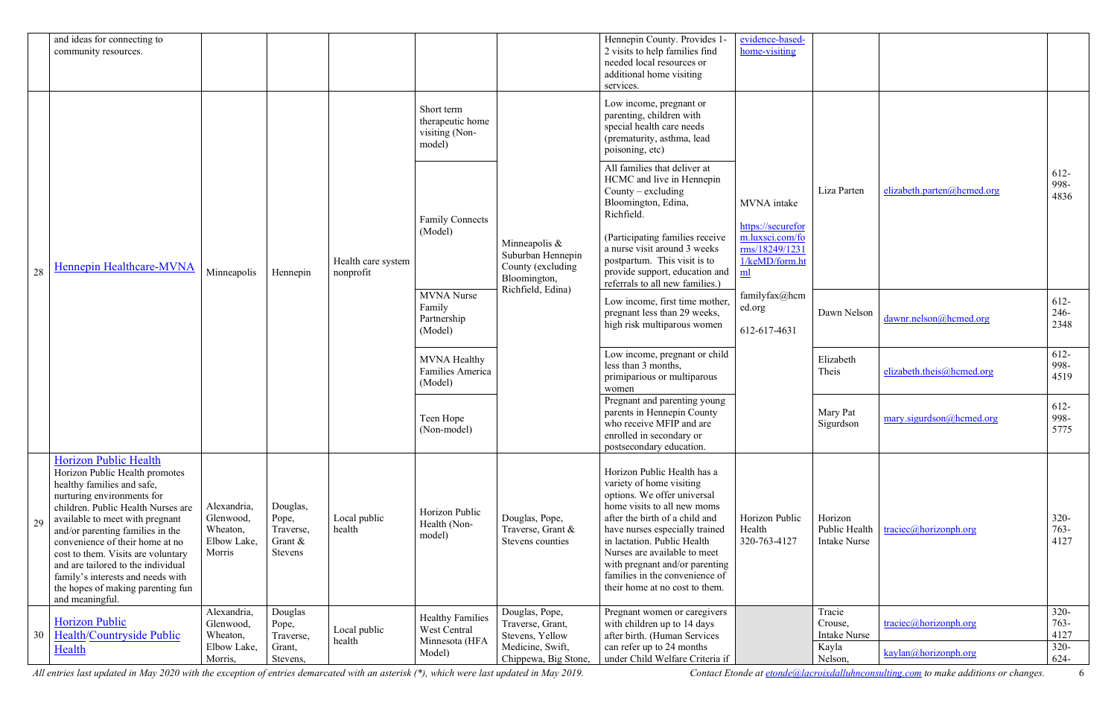|    | and ideas for connecting to<br>community resources.                                                                                                                                                                                                                                                                                                                                                                                                 |                                                               |                                                      |                                 |                                                            |                                                                                                | Hennepin County. Provides 1<br>2 visits to help families find<br>needed local resources or<br>additional home visiting<br>services.                                                                                                                                                                                                                            | evidence-based-<br>home-visiting                                               |                                                   |                                               |                                 |
|----|-----------------------------------------------------------------------------------------------------------------------------------------------------------------------------------------------------------------------------------------------------------------------------------------------------------------------------------------------------------------------------------------------------------------------------------------------------|---------------------------------------------------------------|------------------------------------------------------|---------------------------------|------------------------------------------------------------|------------------------------------------------------------------------------------------------|----------------------------------------------------------------------------------------------------------------------------------------------------------------------------------------------------------------------------------------------------------------------------------------------------------------------------------------------------------------|--------------------------------------------------------------------------------|---------------------------------------------------|-----------------------------------------------|---------------------------------|
|    |                                                                                                                                                                                                                                                                                                                                                                                                                                                     |                                                               |                                                      |                                 | Short term<br>therapeutic home<br>visiting (Non-<br>model) |                                                                                                | Low income, pregnant or<br>parenting, children with<br>special health care needs<br>(prematurity, asthma, lead<br>poisoning, etc)                                                                                                                                                                                                                              |                                                                                |                                                   |                                               |                                 |
|    |                                                                                                                                                                                                                                                                                                                                                                                                                                                     |                                                               |                                                      |                                 | <b>Family Connects</b>                                     |                                                                                                | All families that deliver at<br>HCMC and live in Hennepin<br>County – excluding<br>Bloomington, Edina,<br>Richfield.                                                                                                                                                                                                                                           | MVNA intake                                                                    | Liza Parten                                       | elizabeth.parten@hcmed.org                    | 612-<br>998-<br>4836            |
| 28 | Hennepin Healthcare-MVNA                                                                                                                                                                                                                                                                                                                                                                                                                            | Minneapolis                                                   | Hennepin                                             | Health care system<br>nonprofit | (Model)                                                    | Minneapolis $&$<br>Suburban Hennepin<br>County (excluding<br>Bloomington,<br>Richfield, Edina) | (Participating families receive<br>a nurse visit around 3 weeks<br>postpartum. This visit is to<br>provide support, education and<br>referrals to all new families.)                                                                                                                                                                                           | https://securefor<br>m.luxsci.com/fo<br>rms/18249/1231<br>1/keMD/form.ht<br>ml |                                                   |                                               |                                 |
|    |                                                                                                                                                                                                                                                                                                                                                                                                                                                     |                                                               |                                                      |                                 | <b>MVNA</b> Nurse<br>Family<br>Partnership<br>(Model)      |                                                                                                | Low income, first time mother,<br>pregnant less than 29 weeks,<br>high risk multiparous women                                                                                                                                                                                                                                                                  | familyfax@hcm<br>ed.org<br>612-617-4631                                        | Dawn Nelson                                       | dawnr.nelson@hcmed.org                        | 612-<br>246-<br>2348            |
|    |                                                                                                                                                                                                                                                                                                                                                                                                                                                     |                                                               |                                                      |                                 | MVNA Healthy<br>Families America<br>(Model)                |                                                                                                | Low income, pregnant or child<br>less than 3 months,<br>primiparious or multiparous<br>women                                                                                                                                                                                                                                                                   |                                                                                | Elizabeth<br>Theis                                | elizabeth.theis@hcmed.org                     | 612-<br>998-<br>4519            |
|    |                                                                                                                                                                                                                                                                                                                                                                                                                                                     |                                                               |                                                      |                                 | Teen Hope<br>(Non-model)                                   |                                                                                                | Pregnant and parenting young<br>parents in Hennepin County<br>who receive MFIP and are<br>enrolled in secondary or<br>postsecondary education.                                                                                                                                                                                                                 |                                                                                | Mary Pat<br>Sigurdson                             | mary.sigurdson@hcmed.org                      | $612 -$<br>998-<br>5775         |
| 29 | <b>Horizon Public Health</b><br>Horizon Public Health promotes<br>healthy families and safe,<br>nurturing environments for<br>children. Public Health Nurses are<br>available to meet with pregnant<br>and/or parenting families in the<br>convenience of their home at no<br>cost to them. Visits are voluntary<br>and are tailored to the individual<br>family's interests and needs with<br>the hopes of making parenting fun<br>and meaningful. | Alexandria,<br>Glenwood,<br>Wheaton,<br>Elbow Lake,<br>Morris | Douglas,<br>Pope,<br>Traverse,<br>Grant &<br>Stevens | Local public<br>health          | Horizon Public<br>Health (Non-<br>model)                   | Douglas, Pope,<br>Traverse, Grant &<br>Stevens counties                                        | Horizon Public Health has a<br>variety of home visiting<br>options. We offer universal<br>home visits to all new moms<br>after the birth of a child and<br>have nurses especially trained<br>in lactation. Public Health<br>Nurses are available to meet<br>with pregnant and/or parenting<br>families in the convenience of<br>their home at no cost to them. | Horizon Public<br>Health<br>320-763-4127                                       | Horizon<br>Public Health<br><b>Intake Nurse</b>   | traciec@horizonph.org                         | $320 -$<br>763-<br>4127         |
| 30 | <b>Horizon Public</b><br>Health/Countryside Public<br>Health                                                                                                                                                                                                                                                                                                                                                                                        | Alexandria,<br>Glenwood,<br>Wheaton,<br>Elbow Lake,           | Douglas<br>Pope,<br>Traverse,<br>Grant,              | Local public<br>health          | <b>Healthy Families</b><br>West Central<br>Minnesota (HFA  | Douglas, Pope,<br>Traverse, Grant,<br>Stevens, Yellow<br>Medicine, Swift,                      | Pregnant women or caregivers<br>with children up to 14 days<br>after birth. (Human Services<br>can refer up to 24 months                                                                                                                                                                                                                                       |                                                                                | Tracie<br>Crouse,<br><b>Intake Nurse</b><br>Kayla | traciec@horizonph.org<br>kaylan@horizonph.org | $320 -$<br>763-<br>4127<br>320- |
|    |                                                                                                                                                                                                                                                                                                                                                                                                                                                     | Morris,                                                       | Stevens,                                             |                                 | Model)                                                     | Chippewa, Big Stone,                                                                           | under Child Welfare Criteria if                                                                                                                                                                                                                                                                                                                                |                                                                                | Nelson,                                           |                                               | 624-                            |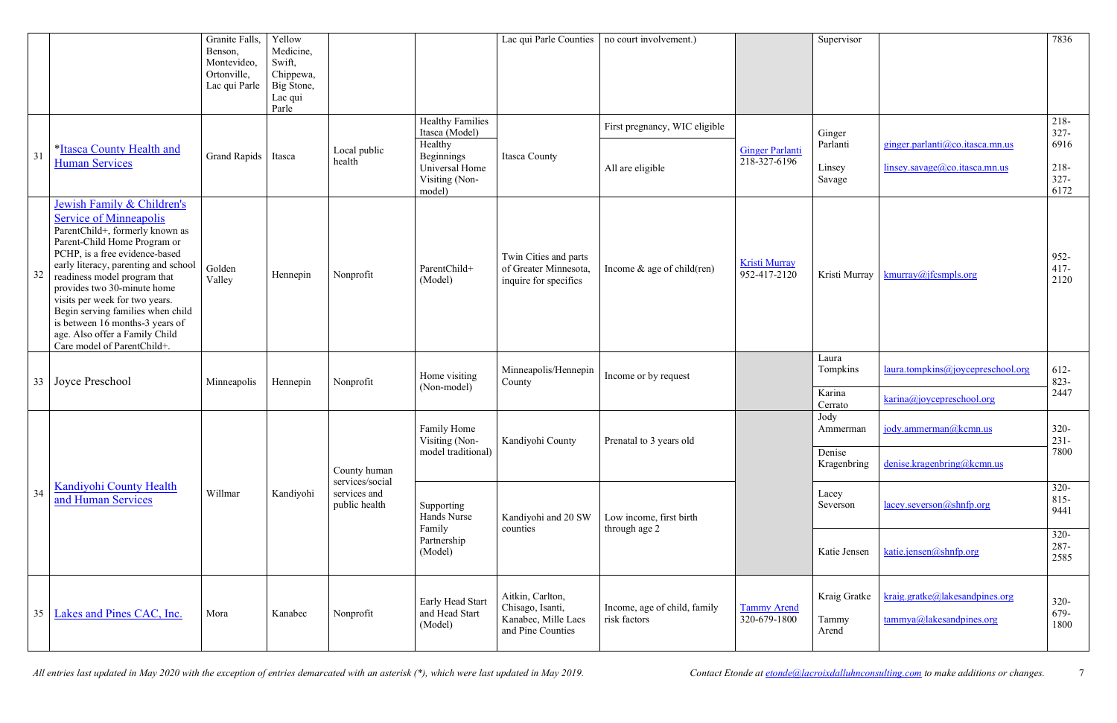|     |                                                                                                                                                                                                                                                                                                                                                                                                                                                    | Granite Falls,<br>Benson,<br>Montevideo,<br>Ortonville,<br>Lac qui Parle | Yellow<br>Medicine,<br>Swift,<br>Chippewa,<br>Big Stone,<br>Lac qui<br>Parle |                                 |                                                                                                                  | Lac qui Parle Counties                                                           | no court involvement.)                            |                                        | Supervisor                                |                                                                    | 7836                                                 |
|-----|----------------------------------------------------------------------------------------------------------------------------------------------------------------------------------------------------------------------------------------------------------------------------------------------------------------------------------------------------------------------------------------------------------------------------------------------------|--------------------------------------------------------------------------|------------------------------------------------------------------------------|---------------------------------|------------------------------------------------------------------------------------------------------------------|----------------------------------------------------------------------------------|---------------------------------------------------|----------------------------------------|-------------------------------------------|--------------------------------------------------------------------|------------------------------------------------------|
| 31  | *Itasca County Health and<br><b>Human Services</b>                                                                                                                                                                                                                                                                                                                                                                                                 | Grand Rapids   Itasca                                                    |                                                                              | Local public<br>health          | <b>Healthy Families</b><br>Itasca (Model)<br>Healthy<br>Beginnings<br>Universal Home<br>Visiting (Non-<br>model) | Itasca County                                                                    | First pregnancy, WIC eligible<br>All are eligible | <b>Ginger Parlanti</b><br>218-327-6196 | Ginger<br>Parlanti<br>Linsey<br>Savage    | ginger.parlanti@co.itasca.mn.us<br>lines y.savage@co. its ca.mn.us | $218-$<br>$327 -$<br>6916<br>218-<br>$327 -$<br>6172 |
| 32  | Jewish Family & Children's<br><b>Service of Minneapolis</b><br>ParentChild+, formerly known as<br>Parent-Child Home Program or<br>PCHP, is a free evidence-based<br>early literacy, parenting and school<br>readiness model program that<br>provides two 30-minute home<br>visits per week for two years.<br>Begin serving families when child<br>is between 16 months-3 years of<br>age. Also offer a Family Child<br>Care model of ParentChild+. | Golden<br>Valley                                                         | Hennepin                                                                     | Nonprofit                       | ParentChild+<br>(Model)                                                                                          | Twin Cities and parts<br>of Greater Minnesota,<br>inquire for specifics          | Income $&$ age of child(ren)                      | <b>Kristi Murray</b><br>952-417-2120   | Kristi Murray                             | kmurray@jfcsmpls.org                                               | $952 -$<br>$417-$<br>2120                            |
|     | 33 Joyce Preschool                                                                                                                                                                                                                                                                                                                                                                                                                                 | Minneapolis                                                              | Hennepin                                                                     | Nonprofit                       | Home visiting<br>(Non-model)                                                                                     | Minneapolis/Hennepin<br>County                                                   | Income or by request                              |                                        | Laura<br>Tompkins<br>Karina<br>Cerrato    | laura. tompkins@joycepreschool.org<br>karina@joycepreschool.org    | 612-<br>823-<br>2447                                 |
|     |                                                                                                                                                                                                                                                                                                                                                                                                                                                    |                                                                          |                                                                              | County human<br>services/social | Family Home<br>Visiting (Non-<br>model traditional)                                                              | Kandiyohi County                                                                 | Prenatal to 3 years old                           |                                        | Jody<br>Ammerman<br>Denise<br>Kragenbring | jody.ammerman@kcmn.us<br>denise.kragenbring@kcmn.us                | $320 -$<br>$231-$<br>7800                            |
| 34  | <b>Kandiyohi County Health</b><br>and Human Services                                                                                                                                                                                                                                                                                                                                                                                               | Willmar                                                                  | Kandiyohi                                                                    | services and<br>public health   | Supporting<br>Hands Nurse<br>Family                                                                              | Kandiyohi and 20 SW<br>counties                                                  | Low income, first birth                           |                                        | Lacey<br>Severson                         | $l$ acey.severson@shnfp.org                                        | $320 -$<br>$815 -$<br>9441                           |
|     |                                                                                                                                                                                                                                                                                                                                                                                                                                                    |                                                                          |                                                                              |                                 | Partnership<br>(Model)                                                                                           |                                                                                  | through age 2                                     |                                        | Katie Jensen                              | katie.jensen@shnfp.org                                             | $320 -$<br>287-<br>2585                              |
| 135 | Lakes and Pines CAC, Inc.                                                                                                                                                                                                                                                                                                                                                                                                                          | Mora                                                                     | Kanabec                                                                      | Nonprofit                       | Early Head Start<br>and Head Start<br>(Model)                                                                    | Aitkin, Carlton,<br>Chisago, Isanti,<br>Kanabec, Mille Lacs<br>and Pine Counties | Income, age of child, family<br>risk factors      | <b>Tammy Arend</b><br>320-679-1800     | Kraig Gratke<br>Tammy<br>Arend            | kraig.gratke@lakesandpines.org<br>tammya@]akesandpines.org         | $320 -$<br>679-<br>1800                              |

|                                      | Supervisor                             |                                                                  | 7836                                                  |
|--------------------------------------|----------------------------------------|------------------------------------------------------------------|-------------------------------------------------------|
| Ginger Parlanti<br>218-327-6196      | Ginger<br>Parlanti<br>Linsey<br>Savage | ginger.parlanti@co.itasca.mn.us<br>linsey.savage@co.itasca.mn.us | $218 -$<br>$327 -$<br>6916<br>218-<br>$327 -$<br>6172 |
| <b>Kristi Murray</b><br>952-417-2120 | Kristi Murray                          | kmurray@jfcsmpls.org                                             | $952 -$<br>$417 -$<br>2120                            |
|                                      | Laura<br>Tompkins<br>Karina            | laura.tompkins@joycepreschool.org                                | 612-<br>823-<br>2447                                  |
|                                      | Cerrato                                | karina@joycepreschool.org                                        |                                                       |
|                                      | Jody<br>Ammerman                       | jody.ammerman@kcmn.us                                            | $320 -$<br>$231 -$                                    |
|                                      | Denise<br>Kragenbring                  | denise.kragenbring@kcmn.us                                       | 7800                                                  |
|                                      | Lacey<br>Severson                      | lacey. seversion@shnfp.org                                       | $320 -$<br>$815 -$<br>9441                            |
|                                      | Katie Jensen                           | katie.jensen@shnfp.org                                           | 320-<br>287-<br>2585                                  |
| Tammy Arend<br>320-679-1800          | Kraig Gratke<br>Tammy<br>Arend         | kraig.gratke@lakesandpines.org<br>tammya@lakesandpines.org       | 320-<br>679-<br>1800                                  |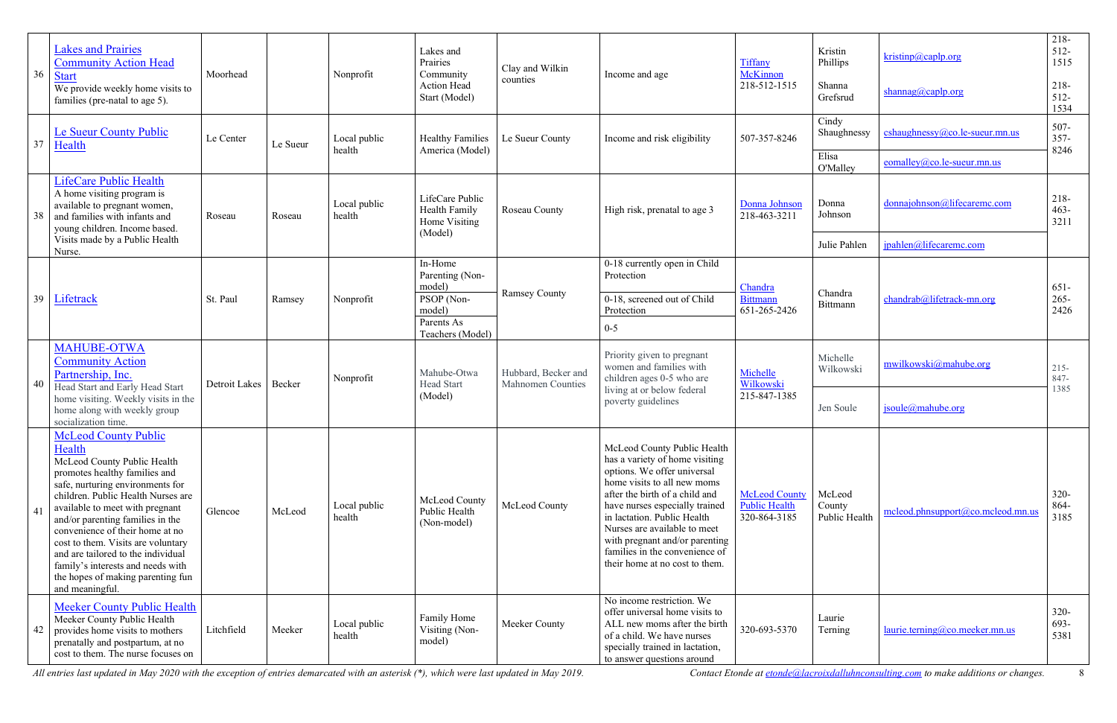| 36 | <b>Lakes and Prairies</b><br><b>Community Action Head</b><br><b>Start</b><br>We provide weekly home visits to<br>families (pre-natal to age 5).                                                                                                                                                                                                                                                                                                                    | Moorhead               |          | Nonprofit              | Lakes and<br>Prairies<br>Community<br>Action Head<br>Start (Model) | Clay and Wilkin<br>counties              | Income and age                                                                                                                                                                                                                                                                                                                                                       | Tiffany<br>McKinnon<br>218-512-1515                          | Kristin<br>Phillips<br>Shanna<br>Grefsrud | kristinp(a)caplp.org<br>shannag(a) caplp.org                      | 218-<br>$512 -$<br>1515<br>$218-$<br>$512 -$<br>1534 |
|----|--------------------------------------------------------------------------------------------------------------------------------------------------------------------------------------------------------------------------------------------------------------------------------------------------------------------------------------------------------------------------------------------------------------------------------------------------------------------|------------------------|----------|------------------------|--------------------------------------------------------------------|------------------------------------------|----------------------------------------------------------------------------------------------------------------------------------------------------------------------------------------------------------------------------------------------------------------------------------------------------------------------------------------------------------------------|--------------------------------------------------------------|-------------------------------------------|-------------------------------------------------------------------|------------------------------------------------------|
|    | Le Sueur County Public<br>37 Health                                                                                                                                                                                                                                                                                                                                                                                                                                | Le Center              | Le Sueur | Local public<br>health | <b>Healthy Families</b><br>America (Model)                         | Le Sueur County                          | Income and risk eligibility                                                                                                                                                                                                                                                                                                                                          | 507-357-8246                                                 | Cindy<br>Shaughnessy<br>Elisa<br>O'Malley | $cshaughnessy@co. le-sueur.mn.us$<br>$eomally@co. le-sueur.mn.us$ | 507-<br>$357 -$<br>8246                              |
| 38 | LifeCare Public Health<br>A home visiting program is<br>available to pregnant women,<br>and families with infants and<br>young children. Income based.<br>Visits made by a Public Health                                                                                                                                                                                                                                                                           | Roseau                 | Roseau   | Local public<br>health | LifeCare Public<br>Health Family<br>Home Visiting<br>(Model)       | Roseau County                            | High risk, prenatal to age 3                                                                                                                                                                                                                                                                                                                                         | Donna Johnson<br>218-463-3211                                | Donna<br>Johnson<br>Julie Pahlen          | donnajohnson@lifecaremc.com<br>ipahlen@lifecaremc.com             | 218-<br>$463 -$<br>3211                              |
|    | Nurse.                                                                                                                                                                                                                                                                                                                                                                                                                                                             |                        |          |                        | In-Home                                                            |                                          | 0-18 currently open in Child                                                                                                                                                                                                                                                                                                                                         |                                                              |                                           |                                                                   |                                                      |
|    |                                                                                                                                                                                                                                                                                                                                                                                                                                                                    |                        |          |                        | Parenting (Non-<br>model)                                          | <b>Ramsey County</b>                     | Protection                                                                                                                                                                                                                                                                                                                                                           | Chandra                                                      | Chandra                                   |                                                                   | $651 -$                                              |
|    | 39 Lifetrack                                                                                                                                                                                                                                                                                                                                                                                                                                                       | St. Paul               | Ramsey   | Nonprofit              | PSOP (Non-<br>model)                                               |                                          | 0-18, screened out of Child<br>Protection                                                                                                                                                                                                                                                                                                                            | <b>Bittmann</b><br>651-265-2426                              | Bittmann                                  | chandrab@lifetrack-mn.org                                         | $265 -$<br>2426                                      |
|    |                                                                                                                                                                                                                                                                                                                                                                                                                                                                    |                        |          |                        | Parents As<br>Teachers (Model)                                     |                                          | $0 - 5$                                                                                                                                                                                                                                                                                                                                                              |                                                              |                                           |                                                                   |                                                      |
| 40 | <b>MAHUBE-OTWA</b><br><b>Community Action</b><br>Partnership, Inc.<br>Head Start and Early Head Start                                                                                                                                                                                                                                                                                                                                                              | Detroit Lakes   Becker |          | Nonprofit              | Mahube-Otwa<br><b>Head Start</b>                                   | Hubbard, Becker and<br>Mahnomen Counties | Priority given to pregnant<br>women and families with<br>children ages 0-5 who are                                                                                                                                                                                                                                                                                   | Michelle<br>Wilkowski                                        | Michelle<br>Wilkowski                     | mwilkowski@mahube.org                                             | $215 -$<br>847-                                      |
|    | home visiting. Weekly visits in the<br>home along with weekly group<br>socialization time.                                                                                                                                                                                                                                                                                                                                                                         |                        |          |                        | (Model)                                                            |                                          | living at or below federal<br>poverty guidelines                                                                                                                                                                                                                                                                                                                     | 215-847-1385                                                 | Jen Soule                                 | jsoule@mahube.org                                                 | 1385                                                 |
|    | <b>McLeod County Public</b><br>Health<br>McLeod County Public Health<br>promotes healthy families and<br>safe, nurturing environments for<br>children. Public Health Nurses are<br>available to meet with pregnant<br>and/or parenting families in the<br>convenience of their home at no<br>cost to them. Visits are voluntary<br>and are tailored to the individual<br>family's interests and needs with<br>the hopes of making parenting fun<br>and meaningful. | Glencoe                | McLeod   | Local public<br>health | McLeod County<br>Public Health<br>(Non-model)                      | McLeod County                            | McLeod County Public Health<br>has a variety of home visiting<br>options. We offer universal<br>home visits to all new moms<br>after the birth of a child and<br>have nurses especially trained<br>in lactation. Public Health<br>Nurses are available to meet<br>with pregnant and/or parenting<br>families in the convenience of<br>their home at no cost to them. | <b>McLeod County</b><br><b>Public Health</b><br>320-864-3185 | McLeod<br>County<br>Public Health         | mcleod.phnsupport@co.mcleod.mn.us                                 | $320 -$<br>864-<br>3185                              |
| 42 | <b>Meeker County Public Health</b><br>Meeker County Public Health<br>provides home visits to mothers<br>prenatally and postpartum, at no<br>cost to them. The nurse focuses on                                                                                                                                                                                                                                                                                     | Litchfield             | Meeker   | Local public<br>health | Family Home<br>Visiting (Non-<br>model)                            | Meeker County                            | No income restriction. We<br>offer universal home visits to<br>ALL new moms after the birth<br>of a child. We have nurses<br>specially trained in lactation,<br>to answer questions around                                                                                                                                                                           | 320-693-5370                                                 | Laurie<br>Terning                         | laurie.terning@co.meeker.mn.us                                    | 320-<br>693-<br>5381                                 |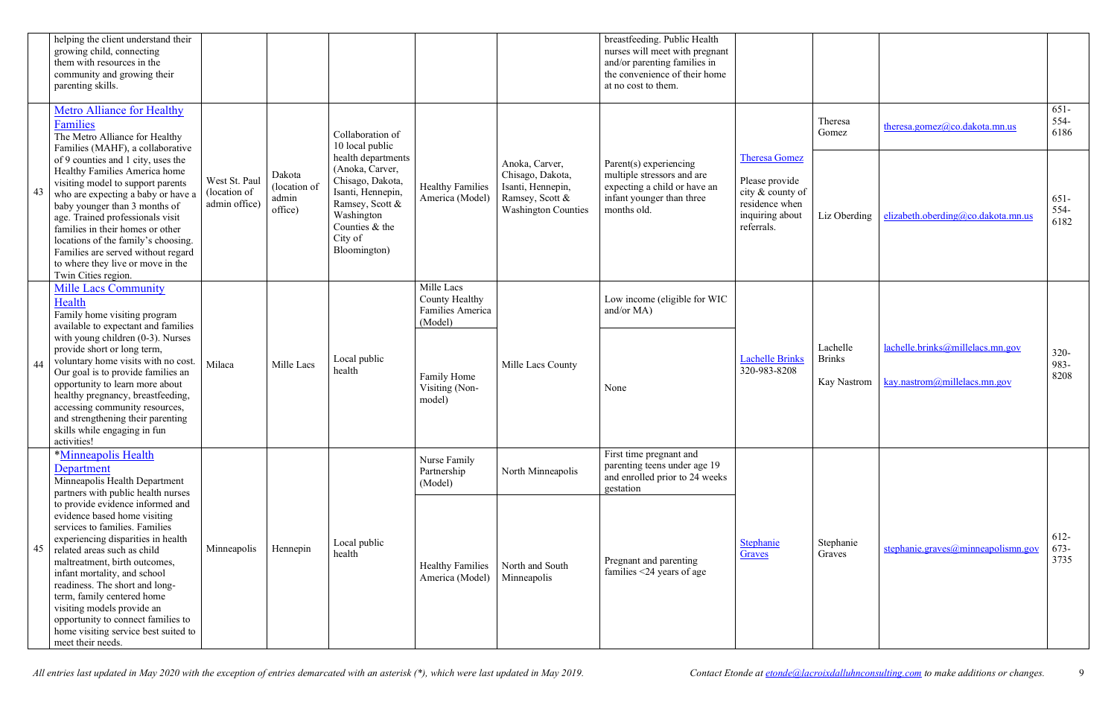|    | helping the client understand their<br>growing child, connecting<br>them with resources in the<br>community and growing their<br>parenting skills.                                                                                                                                                                                                                                                                                        |                                                |                                            |                                                                                                                                                              |                                                             |                                                                                                          | breastfeeding. Public Health<br>nurses will meet with pregnant<br>and/or parenting families in<br>the convenience of their home<br>at no cost to them. |                                                                                                               |                                          |                                                                  |                         |
|----|-------------------------------------------------------------------------------------------------------------------------------------------------------------------------------------------------------------------------------------------------------------------------------------------------------------------------------------------------------------------------------------------------------------------------------------------|------------------------------------------------|--------------------------------------------|--------------------------------------------------------------------------------------------------------------------------------------------------------------|-------------------------------------------------------------|----------------------------------------------------------------------------------------------------------|--------------------------------------------------------------------------------------------------------------------------------------------------------|---------------------------------------------------------------------------------------------------------------|------------------------------------------|------------------------------------------------------------------|-------------------------|
|    | <b>Metro Alliance for Healthy</b><br>Families<br>The Metro Alliance for Healthy<br>Families (MAHF), a collaborative                                                                                                                                                                                                                                                                                                                       |                                                |                                            | Collaboration of<br>10 local public                                                                                                                          |                                                             |                                                                                                          |                                                                                                                                                        |                                                                                                               | Theresa<br>Gomez                         | theresa.gomez@co.dakota.mn.us                                    | $651 -$<br>554-<br>6186 |
| 43 | of 9 counties and 1 city, uses the<br>Healthy Families America home<br>visiting model to support parents<br>who are expecting a baby or have a<br>baby younger than 3 months of<br>age. Trained professionals visit<br>families in their homes or other<br>locations of the family's choosing.<br>Families are served without regard<br>to where they live or move in the<br>Twin Cities region.                                          | West St. Paul<br>(location of<br>admin office) | Dakota<br>(location of<br>admin<br>office) | health departments<br>(Anoka, Carver,<br>Chisago, Dakota,<br>Isanti, Hennepin,<br>Ramsey, Scott &<br>Washington<br>Counties & the<br>City of<br>Bloomington) | <b>Healthy Families</b><br>America (Model)                  | Anoka, Carver,<br>Chisago, Dakota,<br>Isanti, Hennepin,<br>Ramsey, Scott &<br><b>Washington Counties</b> | Parent(s) experiencing<br>multiple stressors and are<br>expecting a child or have an<br>infant younger than three<br>months old.                       | <b>Theresa Gomez</b><br>Please provide<br>city & county of<br>residence when<br>inquiring about<br>referrals. | Liz Oberding                             | elizabeth.oberding@co.dakota.mn.us                               | $651-$<br>554-<br>6182  |
|    | <b>Mille Lacs Community</b><br>Health<br>Family home visiting program<br>available to expectant and families                                                                                                                                                                                                                                                                                                                              |                                                |                                            |                                                                                                                                                              | Mille Lacs<br>County Healthy<br>Families America<br>(Model) |                                                                                                          | Low income (eligible for WIC<br>and/or MA)                                                                                                             |                                                                                                               |                                          |                                                                  |                         |
| 44 | with young children $(0-3)$ . Nurses<br>provide short or long term,<br>voluntary home visits with no cost.<br>Our goal is to provide families an<br>opportunity to learn more about<br>healthy pregnancy, breastfeeding,<br>accessing community resources,<br>and strengthening their parenting<br>skills while engaging in fun<br>activities!                                                                                            | Milaca                                         | Mille Lacs                                 | Local public<br>health                                                                                                                                       | Family Home<br>Visiting (Non-<br>model)                     | Mille Lacs County                                                                                        | None                                                                                                                                                   | <b>Lachelle Brinks</b><br>320-983-8208                                                                        | Lachelle<br><b>Brinks</b><br>Kay Nastrom | lachelle.brinks@millelacs.mn.gov<br>kay.nastrom@millelacs.mn.gov | $320 -$<br>983-<br>8208 |
|    | *Minneapolis Health<br>Department<br>Minneapolis Health Department<br>partners with public health nurses                                                                                                                                                                                                                                                                                                                                  |                                                |                                            |                                                                                                                                                              | Nurse Family<br>Partnership<br>(Model)                      | North Minneapolis                                                                                        | First time pregnant and<br>parenting teens under age 19<br>and enrolled prior to 24 weeks<br>gestation                                                 |                                                                                                               |                                          |                                                                  |                         |
| 45 | to provide evidence informed and<br>evidence based home visiting<br>services to families. Families<br>experiencing disparities in health<br>related areas such as child<br>maltreatment, birth outcomes,<br>infant mortality, and school<br>readiness. The short and long-<br>term, family centered home<br>visiting models provide an<br>opportunity to connect families to<br>home visiting service best suited to<br>meet their needs. | Minneapolis                                    | Hennepin                                   | Local public<br>health                                                                                                                                       | <b>Healthy Families</b><br>America (Model)                  | North and South<br>Minneapolis                                                                           | Pregnant and parenting<br>families $\leq$ 24 years of age                                                                                              | Stephanie<br>Graves                                                                                           | Stephanie<br>Graves                      | stephanie.graves@minneapolismn.gov                               | 612-<br>673-<br>3735    |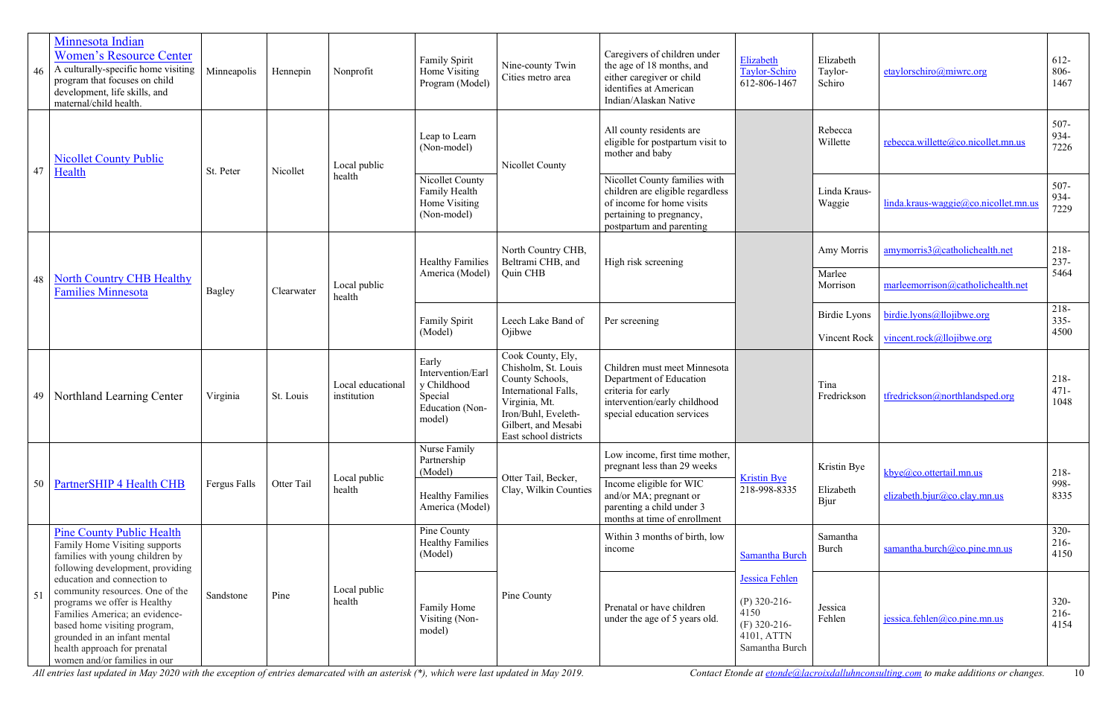| 46             | Minnesota Indian<br><b>Women's Resource Center</b><br>A culturally-specific home visiting<br>program that focuses on child<br>development, life skills, and<br>maternal/child health.                                                                                                                | Minneapolis  | Hennepin   | Nonprofit                        | Family Spirit<br>Home Visiting<br>Program (Model)                                 | Nine-county Twin<br>Cities metro area                                                                                                                                       | Caregivers of children under<br>the age of 18 months, and<br>either caregiver or child<br>identifies at American<br>Indian/Alaskan Native              | Elizabeth<br>Taylor-Schiro<br>612-806-1467                                                 | Elizabeth<br>Taylor-<br>Schiro | etaylorschiro@miwrc.org              | 612-<br>806-<br>1467      |
|----------------|------------------------------------------------------------------------------------------------------------------------------------------------------------------------------------------------------------------------------------------------------------------------------------------------------|--------------|------------|----------------------------------|-----------------------------------------------------------------------------------|-----------------------------------------------------------------------------------------------------------------------------------------------------------------------------|--------------------------------------------------------------------------------------------------------------------------------------------------------|--------------------------------------------------------------------------------------------|--------------------------------|--------------------------------------|---------------------------|
| 47             | <b>Nicollet County Public</b><br>Health                                                                                                                                                                                                                                                              | St. Peter    | Nicollet   | Local public                     | Leap to Learn<br>(Non-model)                                                      | Nicollet County                                                                                                                                                             | All county residents are<br>eligible for postpartum visit to<br>mother and baby                                                                        |                                                                                            | Rebecca<br>Willette            | rebecca.willette@co.nicollet.mn.us   | $507 -$<br>934-<br>7226   |
|                |                                                                                                                                                                                                                                                                                                      |              |            | health                           | Nicollet County<br>Family Health<br>Home Visiting<br>(Non-model)                  |                                                                                                                                                                             | Nicollet County families with<br>children are eligible regardless<br>of income for home visits<br>pertaining to pregnancy,<br>postpartum and parenting |                                                                                            | Linda Kraus-<br>Waggie         | linda.kraus-waggie@co.nicollet.mn.us | 507-<br>934-<br>7229      |
|                |                                                                                                                                                                                                                                                                                                      |              |            |                                  | <b>Healthy Families</b>                                                           | North Country CHB,<br>Beltrami CHB, and                                                                                                                                     | High risk screening                                                                                                                                    |                                                                                            | Amy Morris                     | amymorris3@catholichealth.net        | $218-$<br>$237 -$         |
| 48             | North Country CHB Healthy<br><b>Families Minnesota</b>                                                                                                                                                                                                                                               | Bagley       | Clearwater | Local public<br>health           | America (Model)                                                                   | Quin CHB                                                                                                                                                                    |                                                                                                                                                        |                                                                                            | Marlee<br>Morrison             | marleemorrison@catholichealth.net    | 5464                      |
|                |                                                                                                                                                                                                                                                                                                      |              |            |                                  | Family Spirit<br>(Model)                                                          | Leech Lake Band of<br>Ojibwe                                                                                                                                                | Per screening                                                                                                                                          |                                                                                            | <b>Birdie Lyons</b>            | birdie.lyons@llojibwe.org            | 218-<br>$335 -$<br>4500   |
|                |                                                                                                                                                                                                                                                                                                      |              |            |                                  |                                                                                   |                                                                                                                                                                             |                                                                                                                                                        |                                                                                            | Vincent Rock                   | vincent.rock@llojibwe.org            |                           |
| 49             | Northland Learning Center                                                                                                                                                                                                                                                                            | Virginia     | St. Louis  | Local educational<br>institution | Early<br>Intervention/Earl<br>y Childhood<br>Special<br>Education (Non-<br>model) | Cook County, Ely,<br>Chisholm, St. Louis<br>County Schools,<br>International Falls,<br>Virginia, Mt.<br>Iron/Buhl, Eveleth-<br>Gilbert, and Mesabi<br>East school districts | Children must meet Minnesota<br>Department of Education<br>criteria for early<br>intervention/early childhood<br>special education services            |                                                                                            | Tina<br>Fredrickson            | tfredrickson@northlandsped.org       | 218-<br>$471 -$<br>1048   |
|                |                                                                                                                                                                                                                                                                                                      |              |            |                                  | Nurse Family<br>Partnership<br>(Model)                                            |                                                                                                                                                                             | Low income, first time mother,<br>pregnant less than 29 weeks                                                                                          |                                                                                            | Kristin Bye                    | kbye@co.ottertail.mn.us              | 218-                      |
| 50             | PartnerSHIP 4 Health CHB                                                                                                                                                                                                                                                                             | Fergus Falls | Otter Tail | Local public<br>health           | <b>Healthy Families</b><br>America (Model)                                        | Otter Tail, Becker,<br>Clay, Wilkin Counties                                                                                                                                | Income eligible for WIC<br>and/or MA; pregnant or<br>parenting a child under 3<br>months at time of enrollment                                         | <b>Kristin Bye</b><br>218-998-8335                                                         | Elizabeth<br>Bjur              | elizabeth.bjur@co.clay.mn.us         | 998-<br>8335              |
|                | <b>Pine County Public Health</b><br>Family Home Visiting supports<br>families with young children by                                                                                                                                                                                                 |              |            |                                  | Pine County<br><b>Healthy Families</b><br>(Model)                                 |                                                                                                                                                                             | Within 3 months of birth, low<br>income                                                                                                                | <b>Samantha Burch</b>                                                                      | Samantha<br>Burch              | samantha.burch@co.pine.mn.us         | 320-<br>$216-$<br>4150    |
| $\frac{1}{51}$ | following development, providing<br>education and connection to<br>community resources. One of the<br>programs we offer is Healthy<br>Families America; an evidence-<br>based home visiting program,<br>grounded in an infant mental<br>health approach for prenatal<br>women and/or families in our | Sandstone    | Pine       | Local public<br>health           | Family Home<br>Visiting (Non-<br>model)                                           | Pine County                                                                                                                                                                 | Prenatal or have children<br>under the age of 5 years old.                                                                                             | Jessica Fehlen<br>$(P)$ 320-216-<br>4150<br>$(F)$ 320-216-<br>4101, ATTN<br>Samantha Burch | Jessica<br>Fehlen              | jessica.fehlen@co.pine.mn.us         | $320 -$<br>$216-$<br>4154 |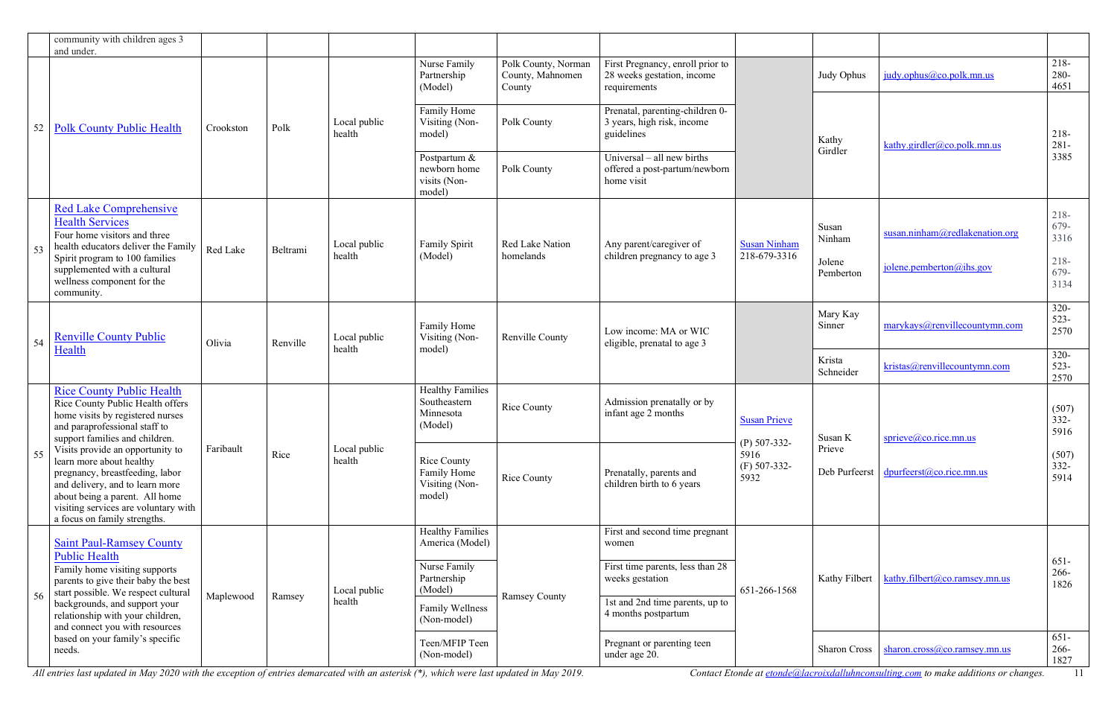|    | community with children ages 3<br>and under.                                                                                                                                                                                                 |           |          |                        |                                                                 |                                                   |                                                                                |                                                |                     |                                        |                           |
|----|----------------------------------------------------------------------------------------------------------------------------------------------------------------------------------------------------------------------------------------------|-----------|----------|------------------------|-----------------------------------------------------------------|---------------------------------------------------|--------------------------------------------------------------------------------|------------------------------------------------|---------------------|----------------------------------------|---------------------------|
|    |                                                                                                                                                                                                                                              |           |          |                        | Nurse Family<br>Partnership<br>(Model)                          | Polk County, Norman<br>County, Mahnomen<br>County | First Pregnancy, enroll prior to<br>28 weeks gestation, income<br>requirements |                                                | Judy Ophus          | judy.ophus@co.polk.mn.us               | 218-<br>280-<br>4651      |
|    | 52   Polk County Public Health                                                                                                                                                                                                               | Crookston | Polk     | Local public<br>health | Family Home<br>Visiting (Non-<br>model)                         | Polk County                                       | Prenatal, parenting-children 0-<br>3 years, high risk, income<br>guidelines    |                                                | Kathy               | kathy.girdler@co.polk.mn.us            | 218-<br>$281 -$           |
|    |                                                                                                                                                                                                                                              |           |          |                        | Postpartum &<br>newborn home<br>visits (Non-<br>model)          | Polk County                                       | Universal – all new births<br>offered a post-partum/newborn<br>home visit      |                                                | Girdler             |                                        | 3385                      |
| 53 | <b>Red Lake Comprehensive</b><br><b>Health Services</b><br>Four home visitors and three<br>health educators deliver the Family                                                                                                               | Red Lake  | Beltrami | Local public           | <b>Family Spirit</b>                                            | Red Lake Nation                                   | Any parent/caregiver of                                                        | <b>Susan Ninham</b>                            | Susan<br>Ninham     | susan.ninham@redlakenation.org         | $218-$<br>679-<br>3316    |
|    | Spirit program to 100 families<br>supplemented with a cultural<br>wellness component for the<br>community.                                                                                                                                   |           |          | health                 | (Model)                                                         | homelands                                         | children pregnancy to age 3                                                    | 218-679-3316                                   | Jolene<br>Pemberton | $jolen$ emberton@ihs.gov               | $218-$<br>679-<br>3134    |
| 54 | <b>Renville County Public</b><br>Health                                                                                                                                                                                                      | Olivia    | Renville | Local public<br>health | Family Home<br>Visiting (Non-<br>model)                         | Renville County                                   | Low income: MA or WIC<br>eligible, prenatal to age 3                           |                                                | Mary Kay<br>Sinner  | marykays@renvillecountymn.com          | $320 -$<br>523-<br>2570   |
|    |                                                                                                                                                                                                                                              |           |          |                        |                                                                 |                                                   |                                                                                |                                                | Krista<br>Schneider | kristas@renvillecountymn.com           | $320 -$<br>$523-$<br>2570 |
|    | <b>Rice County Public Health</b><br>Rice County Public Health offers<br>home visits by registered nurses<br>and paraprofessional staff to<br>support families and children.                                                                  |           |          |                        | <b>Healthy Families</b><br>Southeastern<br>Minnesota<br>(Model) | <b>Rice County</b>                                | Admission prenatally or by<br>infant age 2 months                              | <b>Susan Prieve</b>                            | Susan K             | sprieve@co.rice.mn.us                  | (507)<br>$332 -$<br>5916  |
| 55 | Visits provide an opportunity to<br>learn more about healthy<br>pregnancy, breastfeeding, labor<br>and delivery, and to learn more<br>about being a parent. All home<br>visiting services are voluntary with<br>a focus on family strengths. | Faribault | Rice     | Local public<br>health | <b>Rice County</b><br>Family Home<br>Visiting (Non-<br>model)   | <b>Rice County</b>                                | Prenatally, parents and<br>children birth to 6 years                           | (P) 507-332-<br>5916<br>$(F)$ 507-332-<br>5932 | Prieve              | Deb Purfeerst dpurfeerst@co.rice.mn.us | (507)<br>$332 -$<br>5914  |
|    | <b>Saint Paul-Ramsey County</b><br><b>Public Health</b>                                                                                                                                                                                      |           |          |                        | <b>Healthy Families</b><br>America (Model)                      |                                                   | First and second time pregnant<br>women                                        |                                                |                     |                                        |                           |
|    | Family home visiting supports<br>parents to give their baby the best<br>56 start possible. We respect cultural                                                                                                                               | Maplewood | Ramsey   | Local public           | Nurse Family<br>Partnership<br>(Model)                          | <b>Ramsey County</b>                              | First time parents, less than 28<br>weeks gestation                            | 651-266-1568                                   | Kathy Filbert       | kathy.filbert@co.ramsey.mn.us          | $651 -$<br>$266-$<br>1826 |
|    | backgrounds, and support your<br>relationship with your children,<br>and connect you with resources                                                                                                                                          |           |          | health                 | Family Wellness<br>(Non-model)                                  |                                                   | 1st and 2nd time parents, up to<br>4 months postpartum                         |                                                |                     |                                        |                           |
|    | based on your family's specific<br>needs.                                                                                                                                                                                                    |           |          |                        | Teen/MFIP Teen<br>(Non-model)                                   |                                                   | Pregnant or parenting teen<br>under age 20.                                    |                                                | <b>Sharon Cross</b> | sharon.cross@co.ramsey.mn.us           | $651 -$<br>$266-$<br>1827 |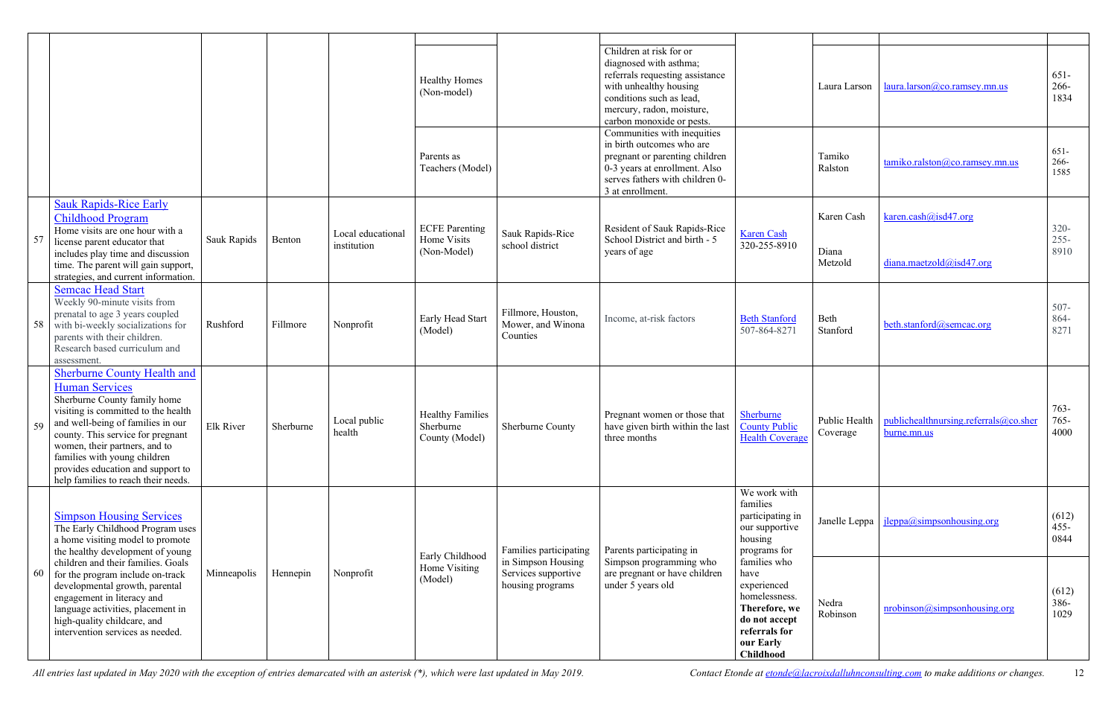|    |                                                                                                                                                                                                                                                                                                                                                                                               |                                      |                          |                                                               | <b>Healthy Homes</b><br>(Non-model)                                           |                                                                                                                   | Children at risk for or<br>diagnosed with asthma;<br>referrals requesting assistance<br>with unhealthy housing<br>conditions such as lead,<br>mercury, radon, moisture,<br>carbon monoxide or pests. |                                                                                                           | Laura Larson                   | laura.larson@co.ramsey.mn.us                                                                                                | $651-$<br>266-<br>1834     |
|----|-----------------------------------------------------------------------------------------------------------------------------------------------------------------------------------------------------------------------------------------------------------------------------------------------------------------------------------------------------------------------------------------------|--------------------------------------|--------------------------|---------------------------------------------------------------|-------------------------------------------------------------------------------|-------------------------------------------------------------------------------------------------------------------|------------------------------------------------------------------------------------------------------------------------------------------------------------------------------------------------------|-----------------------------------------------------------------------------------------------------------|--------------------------------|-----------------------------------------------------------------------------------------------------------------------------|----------------------------|
|    |                                                                                                                                                                                                                                                                                                                                                                                               |                                      |                          |                                                               | Parents as<br>Teachers (Model)                                                |                                                                                                                   | Communities with inequities<br>in birth outcomes who are<br>pregnant or parenting children<br>0-3 years at enrollment. Also<br>serves fathers with children 0-<br>3 at enrollment.                   |                                                                                                           | Tamiko<br>Ralston              | tamiko.ralston@co.ramsey.mn.us                                                                                              | $651-$<br>266-<br>1585     |
| 57 | <b>Sauk Rapids-Rice Early</b><br><b>Childhood Program</b><br>Home visits are one hour with a<br>license parent educator that<br>includes play time and discussion<br>time. The parent will gain support,<br>strategies, and current information.                                                                                                                                              | Sauk Rapids                          | Benton                   | Local educational<br>institution                              | <b>ECFE</b> Parenting<br>Home Visits<br>(Non-Model)                           | Sauk Rapids-Rice<br>school district                                                                               | Resident of Sauk Rapids-Rice<br>School District and birth - 5<br>years of age                                                                                                                        | <b>Karen Cash</b><br>320-255-8910                                                                         | Karen Cash<br>Diana<br>Metzold | $k$ aren.cash@isd47.org<br>diana.mactzold@isd47.org                                                                         | $320 -$<br>$255 -$<br>8910 |
|    | <b>Semcac Head Start</b><br>Weekly 90-minute visits from<br>prenatal to age 3 years coupled<br>with bi-weekly socializations for<br>parents with their children.<br>Research based curriculum and<br>assessment.                                                                                                                                                                              | Rushford                             | Fillmore                 | Nonprofit                                                     | Early Head Start<br>(Model)                                                   | Fillmore, Houston,<br>Mower, and Winona<br>Counties                                                               | Income, at-risk factors                                                                                                                                                                              | <b>Beth Stanford</b><br>507-864-8271                                                                      | Beth<br>Stanford               | beth.stanford@semcac.org                                                                                                    | $507 -$<br>864-<br>8271    |
| 59 | <b>Sherburne County Health and</b><br><b>Human Services</b><br>Sherburne County family home<br>visiting is committed to the health<br>and well-being of families in our<br>county. This service for pregnant<br>women, their partners, and to<br>families with young children<br>provides education and support to<br>help families to reach their needs.                                     | <b>Elk River</b>                     | Sherburne                | Local public<br>health                                        | <b>Healthy Families</b><br>Sherburne<br>County (Model)                        | Sherburne County                                                                                                  | Pregnant women or those that<br>have given birth within the last<br>three months                                                                                                                     | Sherburne<br><b>County Public</b><br><b>Health Coverage</b>                                               | Public Health<br>Coverage      | publichealthnursing.referrals@co.sher<br>burne.mn.us                                                                        | $763-$<br>$765 -$<br>4000  |
| 60 | <b>Simpson Housing Services</b><br>The Early Childhood Program uses<br>a home visiting model to promote<br>the healthy development of young<br>children and their families. Goals<br>for the program include on-track<br>developmental growth, parental<br>engagement in literacy and<br>language activities, placement in<br>high-quality childcare, and<br>intervention services as needed. | Hennepin<br>Minneapolis<br>Nonprofit |                          |                                                               | Early Childhood                                                               | Families participating                                                                                            | Parents participating in                                                                                                                                                                             | We work with<br>families<br>participating in<br>our supportive<br>housing<br>programs for<br>families who |                                | Janelle Leppa $\left  \frac{\text{jleppa}(Q)\text{simpsonhousing.org}}{ \text{jleppa}(Q)\text{simpsonhousing.org}} \right $ | (612)<br>455-<br>0844      |
|    |                                                                                                                                                                                                                                                                                                                                                                                               |                                      | Home Visiting<br>(Model) | in Simpson Housing<br>Services supportive<br>housing programs | Simpson programming who<br>are pregnant or have children<br>under 5 years old | have<br>experienced<br>homelessness.<br>Therefore, we<br>do not accept<br>referrals for<br>our Early<br>Childhood | Nedra<br>Robinson                                                                                                                                                                                    | $nrobinson(\mathcal{Q} \leq mposonhousing.org)$                                                           | (612)<br>386-<br>1029          |                                                                                                                             |                            |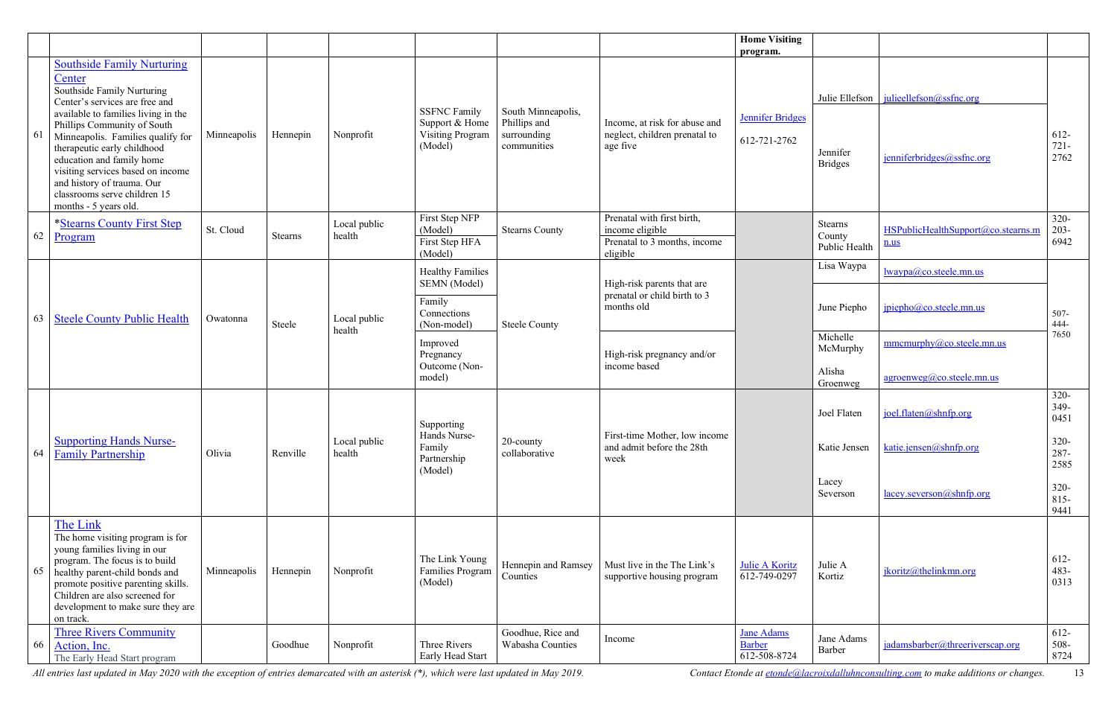|    |                                                                                                                                                                                                                                                                                                                                                                                                                |             |          |                        |                                                                                            |                                                                  |                                                                                      | <b>Home Visiting</b><br>program.        |                                            |                                                                                      |                                        |
|----|----------------------------------------------------------------------------------------------------------------------------------------------------------------------------------------------------------------------------------------------------------------------------------------------------------------------------------------------------------------------------------------------------------------|-------------|----------|------------------------|--------------------------------------------------------------------------------------------|------------------------------------------------------------------|--------------------------------------------------------------------------------------|-----------------------------------------|--------------------------------------------|--------------------------------------------------------------------------------------|----------------------------------------|
| 61 | <b>Southside Family Nurturing</b><br>Center<br>Southside Family Nurturing<br>Center's services are free and<br>available to families living in the<br>Phillips Community of South<br>Minneapolis. Families qualify for<br>therapeutic early childhood<br>education and family home<br>visiting services based on income<br>and history of trauma. Our<br>classrooms serve children 15<br>months - 5 years old. | Minneapolis | Hennepin | Nonprofit              | <b>SSFNC Family</b><br>Support & Home<br><b>Visiting Program</b><br>(Model)                | South Minneapolis,<br>Phillips and<br>surrounding<br>communities | Income, at risk for abuse and<br>neglect, children prenatal to<br>age five           | <b>Jennifer Bridges</b><br>612-721-2762 | Jennifer<br><b>Bridges</b>                 | Julie Ellefson $\int$ julie ellefson $\omega$ ssfnc.org<br>jenniferbridges@ssfnc.org | 612-<br>$721 -$<br>2762                |
| 62 | <i>*Stearns County First Step</i><br>Program                                                                                                                                                                                                                                                                                                                                                                   | St. Cloud   | Stearns  | Local public<br>health | First Step NFP<br>(Model)<br>First Step HFA                                                | <b>Stearns County</b>                                            | Prenatal with first birth,<br>income eligible<br>Prenatal to 3 months, income        |                                         | <b>Stearns</b><br>County<br>Public Health  | HSPublicHealthSupport@co.stearns.m<br>n.us                                           | $320 -$<br>$203 -$<br>6942             |
| 63 | <b>Steele County Public Health</b>                                                                                                                                                                                                                                                                                                                                                                             | Owatonna    | Steele   | Local public<br>health | (Model)<br><b>Healthy Families</b><br>SEMN (Model)<br>Family<br>Connections<br>(Non-model) | <b>Steele County</b>                                             | eligible<br>High-risk parents that are<br>prenatal or child birth to 3<br>months old |                                         | Lisa Waypa<br>June Piepho                  | $\frac{lawaya(a)co.steele.$ mn.us<br>jpiepho@co.steele.mn.us                         | 507-<br>444-                           |
|    |                                                                                                                                                                                                                                                                                                                                                                                                                |             |          |                        | Improved<br>Pregnancy<br>Outcome (Non-<br>model)                                           |                                                                  | High-risk pregnancy and/or<br>income based                                           |                                         | Michelle<br>McMurphy<br>Alisha<br>Groenweg | mmcmurphy@co.steele.mn.us<br>agroenweg@co.steele.mn.us                               | 7650                                   |
|    | <b>Supporting Hands Nurse-</b><br><b>Family Partnership</b>                                                                                                                                                                                                                                                                                                                                                    | Olivia      | Renville | Local public<br>health | Supporting<br>Hands Nurse-<br>Family                                                       | 20-county<br>collaborative                                       | First-time Mother, low income<br>and admit before the 28th                           |                                         | Joel Flaten<br>Katie Jensen                | $j$ oel.flaten $(a)$ shnfp.org<br>katie.jensen@shnfp.org                             | 320-<br>$349-$<br>0451<br>320-<br>287- |
| 64 |                                                                                                                                                                                                                                                                                                                                                                                                                |             |          |                        |                                                                                            | Partnership<br>(Model)                                           |                                                                                      | week                                    |                                            | Lacey<br>Severson                                                                    | $l$ acey.severson@shnfp.org            |
| 65 | The Link<br>The home visiting program is for<br>young families living in our<br>program. The focus is to build<br>healthy parent-child bonds and<br>promote positive parenting skills.<br>Children are also screened for<br>development to make sure they are<br>on track.                                                                                                                                     | Minneapolis | Hennepin | Nonprofit              | The Link Young<br>Families Program<br>(Model)                                              | Hennepin and Ramsey<br>Counties                                  | Must live in the The Link's<br>supportive housing program                            | Julie A Koritz<br>612-749-0297          | Julie A<br>Kortiz                          | ikoritz@thelinkmn.org                                                                | 612-<br>483-<br>0313                   |
| 66 | <b>Three Rivers Community</b><br>Action, Inc.<br>The Early Head Start program                                                                                                                                                                                                                                                                                                                                  |             | Goodhue  | Nonprofit              | Three Rivers<br>Early Head Start                                                           | Goodhue, Rice and<br>Wabasha Counties                            | Income                                                                               | Jane Adams<br>Barber<br>612-508-8724    | Jane Adams<br>Barber                       | jadamsbarber@threeriverscap.org                                                      | 612-<br>508-<br>8724                   |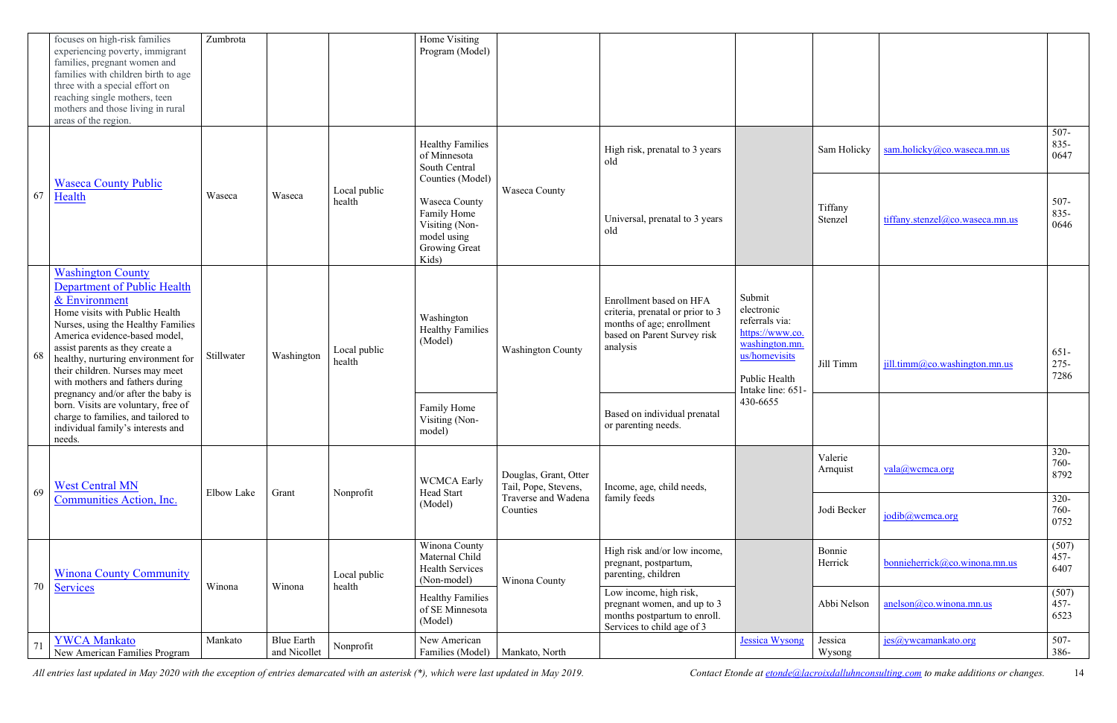|    | focuses on high-risk families<br>experiencing poverty, immigrant<br>families, pregnant women and<br>families with children birth to age<br>three with a special effort on<br>reaching single mothers, teen<br>mothers and those living in rural<br>areas of the region.                                                                 | Zumbrota   |                                   |                        | Home Visiting<br>Program (Model)                                                        |                                               |                                                                                                                                     |                                                                                                                                    |                     |                                  |                            |
|----|-----------------------------------------------------------------------------------------------------------------------------------------------------------------------------------------------------------------------------------------------------------------------------------------------------------------------------------------|------------|-----------------------------------|------------------------|-----------------------------------------------------------------------------------------|-----------------------------------------------|-------------------------------------------------------------------------------------------------------------------------------------|------------------------------------------------------------------------------------------------------------------------------------|---------------------|----------------------------------|----------------------------|
|    |                                                                                                                                                                                                                                                                                                                                         |            |                                   |                        | <b>Healthy Families</b><br>of Minnesota<br>South Central<br>Counties (Model)            |                                               | High risk, prenatal to 3 years<br>old                                                                                               |                                                                                                                                    | Sam Holicky         | sam.holicky@co.waseca.mn.us      | $507 -$<br>835-<br>0647    |
| 67 | <b>Waseca County Public</b><br>Health                                                                                                                                                                                                                                                                                                   | Waseca     | Waseca                            | Local public<br>health | Waseca County<br>Family Home<br>Visiting (Non-<br>model using<br>Growing Great<br>Kids) | <b>Waseca County</b>                          | Universal, prenatal to 3 years<br>old                                                                                               |                                                                                                                                    | Tiffany<br>Stenzel  | tiffany.stenzel@co.waseca.mn.us  | 507-<br>835-<br>0646       |
| 68 | <b>Washington County</b><br><b>Department of Public Health</b><br>& Environment<br>Home visits with Public Health<br>Nurses, using the Healthy Families<br>America evidence-based model,<br>assist parents as they create a<br>healthy, nurturing environment for<br>their children. Nurses may meet<br>with mothers and fathers during | Stillwater | Washington                        | Local public<br>health | Washington<br><b>Healthy Families</b><br>(Model)                                        | <b>Washington County</b>                      | Enrollment based on HFA<br>criteria, prenatal or prior to 3<br>months of age; enrollment<br>based on Parent Survey risk<br>analysis | Submit<br>electronic<br>referrals via:<br>https://www.co.<br>washington.mn.<br>us/homevisits<br>Public Health<br>Intake line: 651- | Jill Timm           | $j$ ill.timm@co.washington.mn.us | $651 -$<br>$275 -$<br>7286 |
|    | pregnancy and/or after the baby is<br>born. Visits are voluntary, free of<br>charge to families, and tailored to<br>individual family's interests and<br>needs.                                                                                                                                                                         |            |                                   |                        | Family Home<br>Visiting (Non-<br>model)                                                 |                                               | Based on individual prenatal<br>or parenting needs.                                                                                 | 430-6655                                                                                                                           |                     |                                  |                            |
| 69 | <b>West Central MN</b>                                                                                                                                                                                                                                                                                                                  | Elbow Lake | Grant                             | Nonprofit              | <b>WCMCA Early</b><br>Head Start                                                        | Douglas, Grant, Otter<br>Tail, Pope, Stevens, | Income, age, child needs,                                                                                                           |                                                                                                                                    | Valerie<br>Arnquist | vala@wcmca.org                   | 320-<br>760-<br>8792       |
|    | <b>Communities Action, Inc.</b>                                                                                                                                                                                                                                                                                                         |            |                                   |                        | (Model)                                                                                 | Traverse and Wadena<br>Counties               | family feeds                                                                                                                        |                                                                                                                                    | Jodi Becker         | jodib@wcmca.org                  | 320-<br>760-<br>0752       |
|    | <b>Winona County Community</b>                                                                                                                                                                                                                                                                                                          |            |                                   | Local public           | Winona County<br>Maternal Child<br>Health Services<br>(Non-model)                       | Winona County                                 | High risk and/or low income,<br>pregnant, postpartum,<br>parenting, children                                                        |                                                                                                                                    | Bonnie<br>Herrick   | bonnieherrick@co.winona.mn.us    | (507)<br>$457 -$<br>6407   |
| 70 | <b>Services</b>                                                                                                                                                                                                                                                                                                                         | Winona     | Winona                            | health                 | <b>Healthy Families</b><br>of SE Minnesota<br>(Model)                                   |                                               | Low income, high risk,<br>pregnant women, and up to 3<br>months postpartum to enroll.<br>Services to child age of 3                 |                                                                                                                                    | Abbi Nelson         | anelson@co.winona.mn.us          | (507)<br>$457 -$<br>6523   |
| 71 | <b>YWCA Mankato</b><br>New American Families Program                                                                                                                                                                                                                                                                                    | Mankato    | <b>Blue Earth</b><br>and Nicollet | Nonprofit              | New American<br>Families (Model)   Mankato, North                                       |                                               |                                                                                                                                     | <b>Jessica Wysong</b>                                                                                                              | Jessica<br>Wysong   | jes@ywcamankato.org              | $507 -$<br>$386-$          |